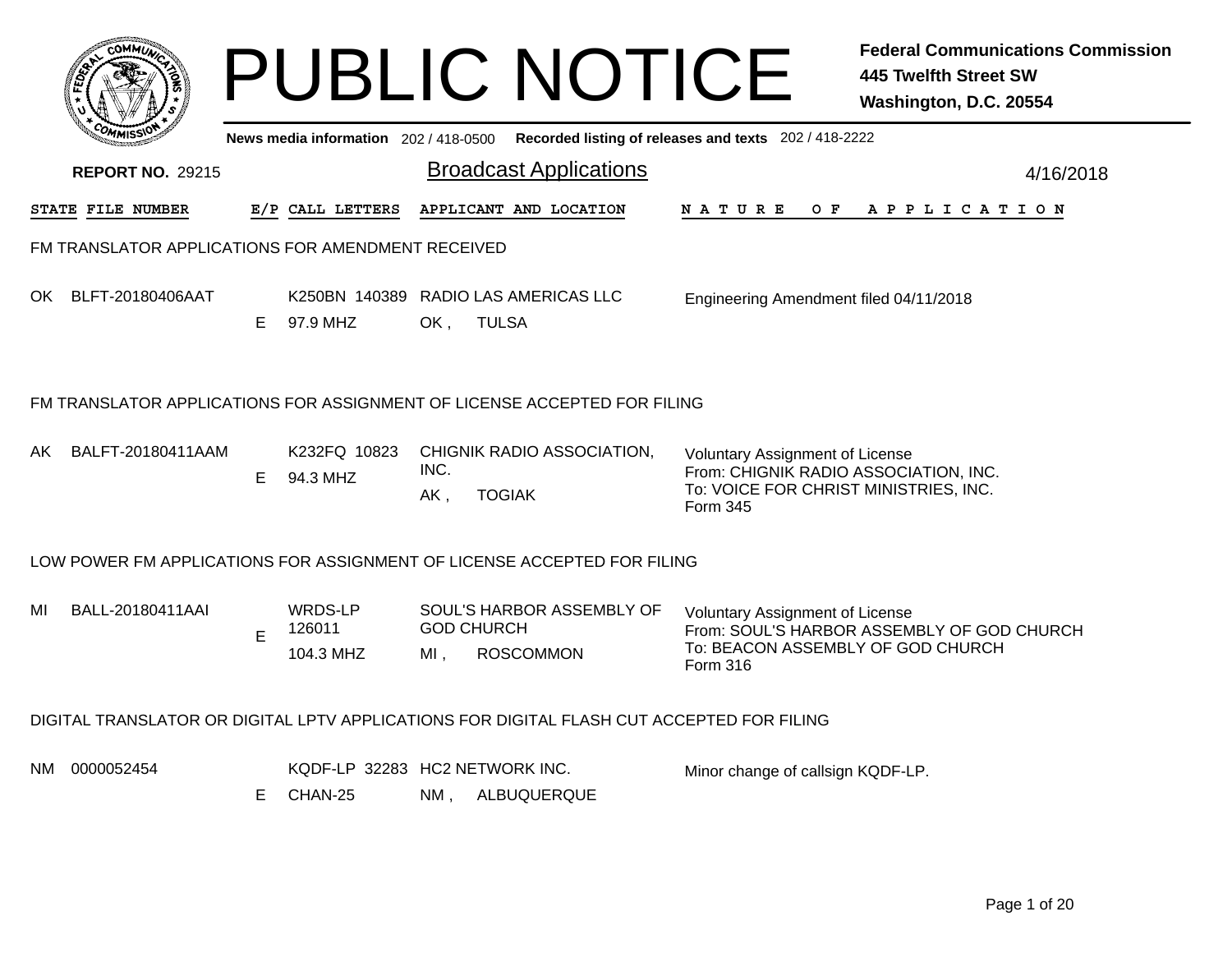|     |                                                   |    |                                           |                             | <b>PUBLIC NOTICE</b>                                                                      |                                                                                                                                      | <b>Federal Communications Commission</b><br><b>445 Twelfth Street SW</b><br>Washington, D.C. 20554 |
|-----|---------------------------------------------------|----|-------------------------------------------|-----------------------------|-------------------------------------------------------------------------------------------|--------------------------------------------------------------------------------------------------------------------------------------|----------------------------------------------------------------------------------------------------|
|     |                                                   |    | News media information 202 / 418-0500     |                             |                                                                                           | Recorded listing of releases and texts 202 / 418-2222                                                                                |                                                                                                    |
|     | <b>REPORT NO. 29215</b>                           |    |                                           |                             | <b>Broadcast Applications</b>                                                             |                                                                                                                                      | 4/16/2018                                                                                          |
|     | <b>STATE FILE NUMBER</b>                          |    | E/P CALL LETTERS                          |                             | APPLICANT AND LOCATION                                                                    | N A T U R E<br>O F                                                                                                                   | A P P L I C A T I O N                                                                              |
|     | FM TRANSLATOR APPLICATIONS FOR AMENDMENT RECEIVED |    |                                           |                             |                                                                                           |                                                                                                                                      |                                                                                                    |
|     | OK BLFT-20180406AAT                               | E. | 97.9 MHZ                                  | OK,                         | K250BN 140389 RADIO LAS AMERICAS LLC<br><b>TULSA</b>                                      | Engineering Amendment filed 04/11/2018                                                                                               |                                                                                                    |
|     |                                                   |    |                                           |                             | FM TRANSLATOR APPLICATIONS FOR ASSIGNMENT OF LICENSE ACCEPTED FOR FILING                  |                                                                                                                                      |                                                                                                    |
| AKI | BALFT-20180411AAM                                 | E. | K232FQ 10823<br>94.3 MHZ                  | INC.<br>AK,                 | CHIGNIK RADIO ASSOCIATION,<br><b>TOGIAK</b>                                               | <b>Voluntary Assignment of License</b><br>From: CHIGNIK RADIO ASSOCIATION, INC.<br>To: VOICE FOR CHRIST MINISTRIES, INC.<br>Form 345 |                                                                                                    |
|     |                                                   |    |                                           |                             | LOW POWER FM APPLICATIONS FOR ASSIGNMENT OF LICENSE ACCEPTED FOR FILING                   |                                                                                                                                      |                                                                                                    |
| MI  | BALL-20180411AAI                                  | E  | WRDS-LP<br>126011<br>104.3 MHZ            | <b>GOD CHURCH</b><br>$MI$ , | SOUL'S HARBOR ASSEMBLY OF<br><b>ROSCOMMON</b>                                             | <b>Voluntary Assignment of License</b><br>To: BEACON ASSEMBLY OF GOD CHURCH<br>Form 316                                              | From: SOUL'S HARBOR ASSEMBLY OF GOD CHURCH                                                         |
|     |                                                   |    |                                           |                             | DIGITAL TRANSLATOR OR DIGITAL LPTV APPLICATIONS FOR DIGITAL FLASH CUT ACCEPTED FOR FILING |                                                                                                                                      |                                                                                                    |
| NM  | 0000052454                                        | Е  | KQDF-LP 32283 HC2 NETWORK INC.<br>CHAN-25 | NM,                         | ALBUQUERQUE                                                                               | Minor change of callsign KQDF-LP.                                                                                                    |                                                                                                    |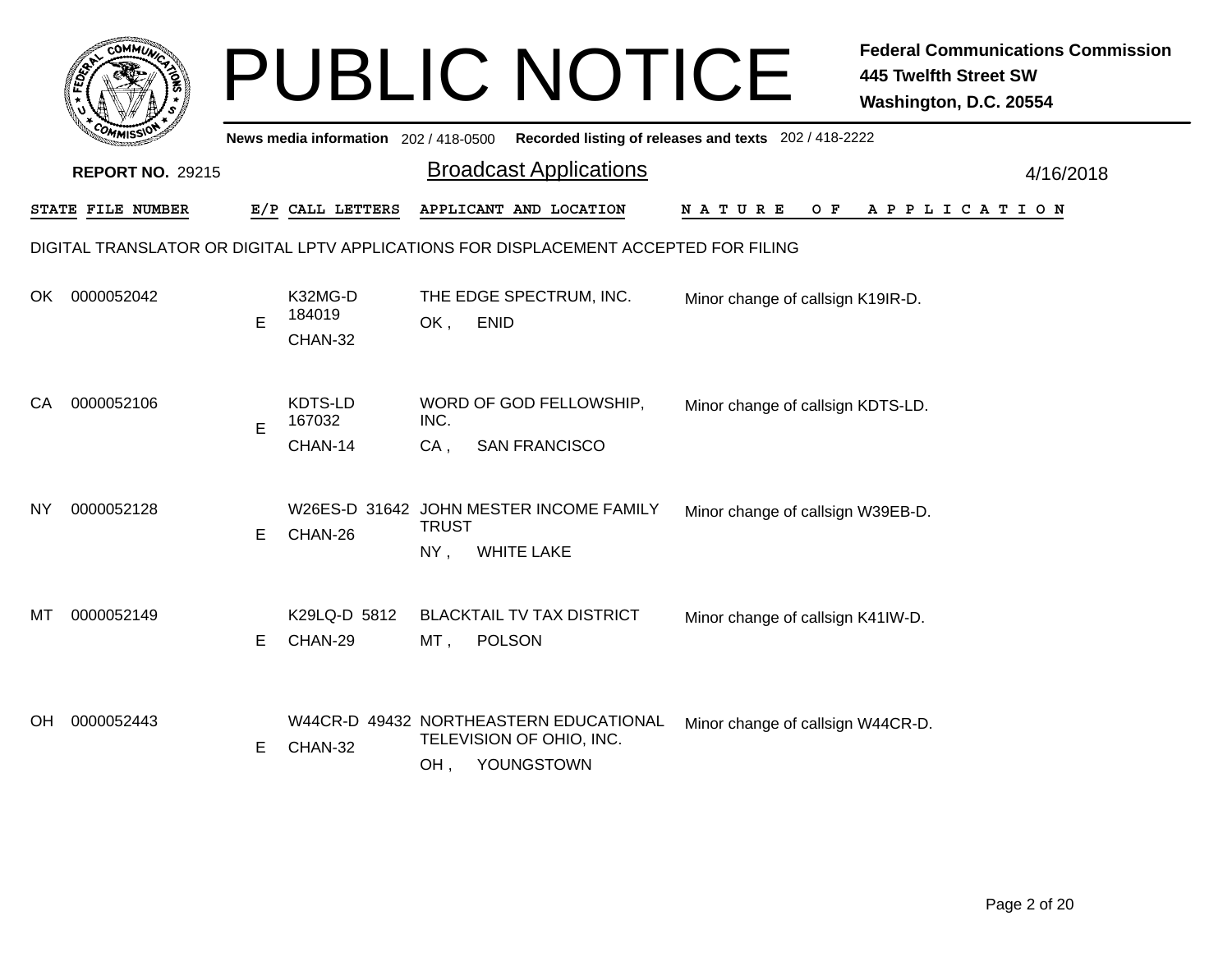|     |                                                                                      |    |                                       |                     | <b>PUBLIC NOTICE</b>                                                             |                                                       | <b>Federal Communications Commission</b><br><b>445 Twelfth Street SW</b><br>Washington, D.C. 20554 |  |  |  |  |  |
|-----|--------------------------------------------------------------------------------------|----|---------------------------------------|---------------------|----------------------------------------------------------------------------------|-------------------------------------------------------|----------------------------------------------------------------------------------------------------|--|--|--|--|--|
|     |                                                                                      |    | News media information 202 / 418-0500 |                     |                                                                                  | Recorded listing of releases and texts 202 / 418-2222 |                                                                                                    |  |  |  |  |  |
|     | <b>REPORT NO. 29215</b>                                                              |    |                                       |                     | <b>Broadcast Applications</b>                                                    |                                                       | 4/16/2018                                                                                          |  |  |  |  |  |
|     | STATE FILE NUMBER                                                                    |    | E/P CALL LETTERS                      |                     | APPLICANT AND LOCATION                                                           | N A T U R E<br>O F                                    | A P P L I C A T I O N                                                                              |  |  |  |  |  |
|     | DIGITAL TRANSLATOR OR DIGITAL LPTV APPLICATIONS FOR DISPLACEMENT ACCEPTED FOR FILING |    |                                       |                     |                                                                                  |                                                       |                                                                                                    |  |  |  |  |  |
| OK. | 0000052042                                                                           | E  | K32MG-D<br>184019<br>CHAN-32          | <b>ENID</b><br>OK,  | THE EDGE SPECTRUM, INC.                                                          | Minor change of callsign K19IR-D.                     |                                                                                                    |  |  |  |  |  |
| СA  | 0000052106                                                                           | E  | KDTS-LD<br>167032<br>CHAN-14          | INC.<br>$CA$ ,      | WORD OF GOD FELLOWSHIP,<br><b>SAN FRANCISCO</b>                                  | Minor change of callsign KDTS-LD.                     |                                                                                                    |  |  |  |  |  |
| ΝY  | 0000052128                                                                           | E. | CHAN-26                               | <b>TRUST</b><br>NY, | W26ES-D 31642 JOHN MESTER INCOME FAMILY<br><b>WHITE LAKE</b>                     | Minor change of callsign W39EB-D.                     |                                                                                                    |  |  |  |  |  |
| мт  | 0000052149                                                                           | E. | K29LQ-D 5812<br>CHAN-29               | MT,                 | <b>BLACKTAIL TV TAX DISTRICT</b><br><b>POLSON</b>                                | Minor change of callsign K41IW-D.                     |                                                                                                    |  |  |  |  |  |
| OH  | 0000052443                                                                           | Е  | CHAN-32                               | OH,                 | W44CR-D 49432 NORTHEASTERN EDUCATIONAL<br>TELEVISION OF OHIO, INC.<br>YOUNGSTOWN | Minor change of callsign W44CR-D.                     |                                                                                                    |  |  |  |  |  |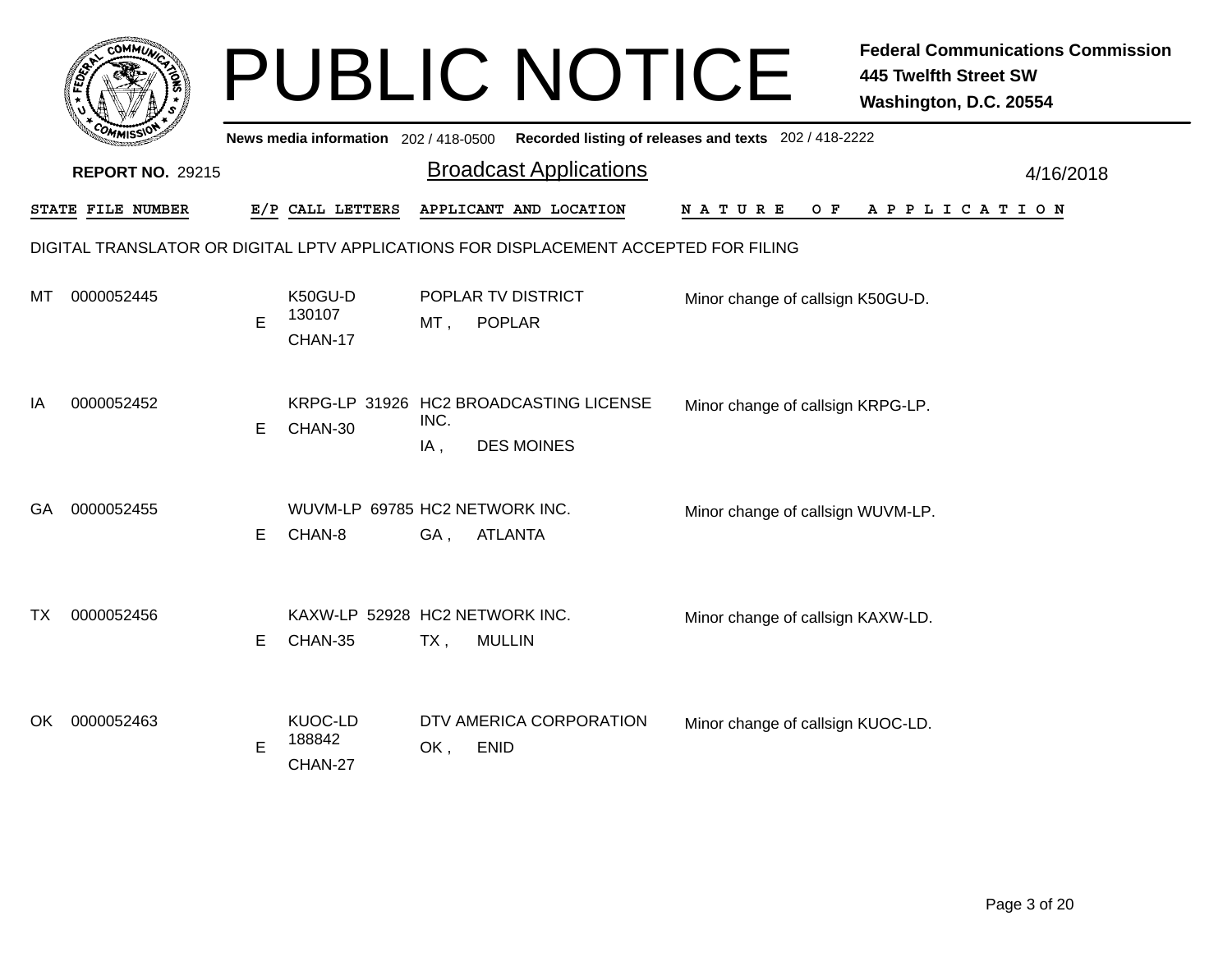|     | сомми                                                                                |    |                                           |             | <b>PUBLIC NOTICE</b>                                        |                                   | <b>Federal Communications Commission</b><br><b>445 Twelfth Street SW</b><br>Washington, D.C. 20554 |  |  |  |  |  |
|-----|--------------------------------------------------------------------------------------|----|-------------------------------------------|-------------|-------------------------------------------------------------|-----------------------------------|----------------------------------------------------------------------------------------------------|--|--|--|--|--|
|     |                                                                                      |    | News media information 202 / 418-0500     |             | Recorded listing of releases and texts 202 / 418-2222       |                                   |                                                                                                    |  |  |  |  |  |
|     | <b>REPORT NO. 29215</b>                                                              |    |                                           |             | <b>Broadcast Applications</b>                               |                                   | 4/16/2018                                                                                          |  |  |  |  |  |
|     | STATE FILE NUMBER                                                                    |    | E/P CALL LETTERS                          |             | APPLICANT AND LOCATION                                      | N A T U R E<br>O F                | APPLICATION                                                                                        |  |  |  |  |  |
|     | DIGITAL TRANSLATOR OR DIGITAL LPTV APPLICATIONS FOR DISPLACEMENT ACCEPTED FOR FILING |    |                                           |             |                                                             |                                   |                                                                                                    |  |  |  |  |  |
| MI  | 0000052445                                                                           | E  | K50GU-D<br>130107<br>CHAN-17              | MT,         | POPLAR TV DISTRICT<br><b>POPLAR</b>                         | Minor change of callsign K50GU-D. |                                                                                                    |  |  |  |  |  |
| IA  | 0000052452                                                                           | E. | CHAN-30                                   | INC.<br>IA, | KRPG-LP 31926 HC2 BROADCASTING LICENSE<br><b>DES MOINES</b> | Minor change of callsign KRPG-LP. |                                                                                                    |  |  |  |  |  |
| GA. | 0000052455                                                                           | E  | WUVM-LP 69785 HC2 NETWORK INC.<br>CHAN-8  | GA,         | <b>ATLANTA</b>                                              | Minor change of callsign WUVM-LP. |                                                                                                    |  |  |  |  |  |
| ТX  | 0000052456                                                                           | E  | KAXW-LP 52928 HC2 NETWORK INC.<br>CHAN-35 | $TX$ ,      | <b>MULLIN</b>                                               | Minor change of callsign KAXW-LD. |                                                                                                    |  |  |  |  |  |
| OK. | 0000052463                                                                           | E  | KUOC-LD<br>188842<br>CHAN-27              | OK,         | DTV AMERICA CORPORATION<br><b>ENID</b>                      | Minor change of callsign KUOC-LD. |                                                                                                    |  |  |  |  |  |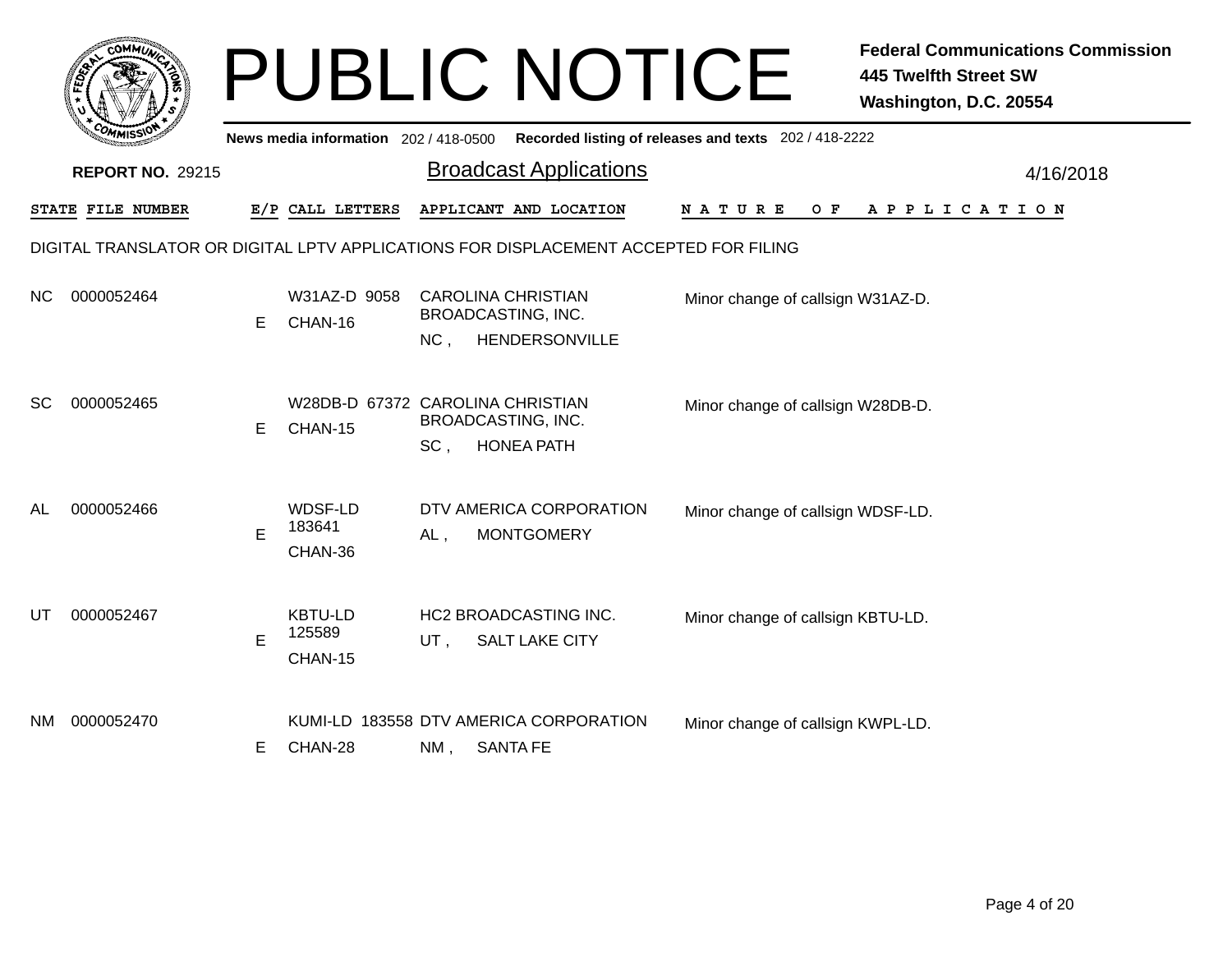|           | соммы                                                                                |    |                                             |        | <b>PUBLIC NOTICE</b>                                              |                                                       | <b>Federal Communications Commission</b><br><b>445 Twelfth Street SW</b><br>Washington, D.C. 20554 |  |  |  |  |  |
|-----------|--------------------------------------------------------------------------------------|----|---------------------------------------------|--------|-------------------------------------------------------------------|-------------------------------------------------------|----------------------------------------------------------------------------------------------------|--|--|--|--|--|
|           |                                                                                      |    | News media information 202 / 418-0500       |        |                                                                   | Recorded listing of releases and texts 202 / 418-2222 |                                                                                                    |  |  |  |  |  |
|           | <b>REPORT NO. 29215</b>                                                              |    |                                             |        | <b>Broadcast Applications</b>                                     |                                                       | 4/16/2018                                                                                          |  |  |  |  |  |
|           | STATE FILE NUMBER                                                                    |    | E/P CALL LETTERS                            |        | APPLICANT AND LOCATION                                            | N A T U R E<br>O F                                    | A P P L I C A T I O N                                                                              |  |  |  |  |  |
|           | DIGITAL TRANSLATOR OR DIGITAL LPTV APPLICATIONS FOR DISPLACEMENT ACCEPTED FOR FILING |    |                                             |        |                                                                   |                                                       |                                                                                                    |  |  |  |  |  |
| NC.       | 0000052464                                                                           | E  | W31AZ-D 9058<br>CHAN-16                     | $NC$ . | <b>CAROLINA CHRISTIAN</b><br>BROADCASTING, INC.<br>HENDERSONVILLE | Minor change of callsign W31AZ-D.                     |                                                                                                    |  |  |  |  |  |
| <b>SC</b> | 0000052465                                                                           | E  | W28DB-D 67372 CAROLINA CHRISTIAN<br>CHAN-15 | SC.    | <b>BROADCASTING, INC.</b><br><b>HONEA PATH</b>                    | Minor change of callsign W28DB-D.                     |                                                                                                    |  |  |  |  |  |
| AL        | 0000052466                                                                           | E  | WDSF-LD<br>183641<br>CHAN-36                | AL,    | DTV AMERICA CORPORATION<br><b>MONTGOMERY</b>                      | Minor change of callsign WDSF-LD.                     |                                                                                                    |  |  |  |  |  |
| UT        | 0000052467                                                                           | E  | <b>KBTU-LD</b><br>125589<br>CHAN-15         | UT,    | <b>HC2 BROADCASTING INC.</b><br><b>SALT LAKE CITY</b>             | Minor change of callsign KBTU-LD.                     |                                                                                                    |  |  |  |  |  |
| NM.       | 0000052470                                                                           | E. | CHAN-28                                     | NM,    | KUMI-LD 183558 DTV AMERICA CORPORATION<br><b>SANTA FE</b>         | Minor change of callsign KWPL-LD.                     |                                                                                                    |  |  |  |  |  |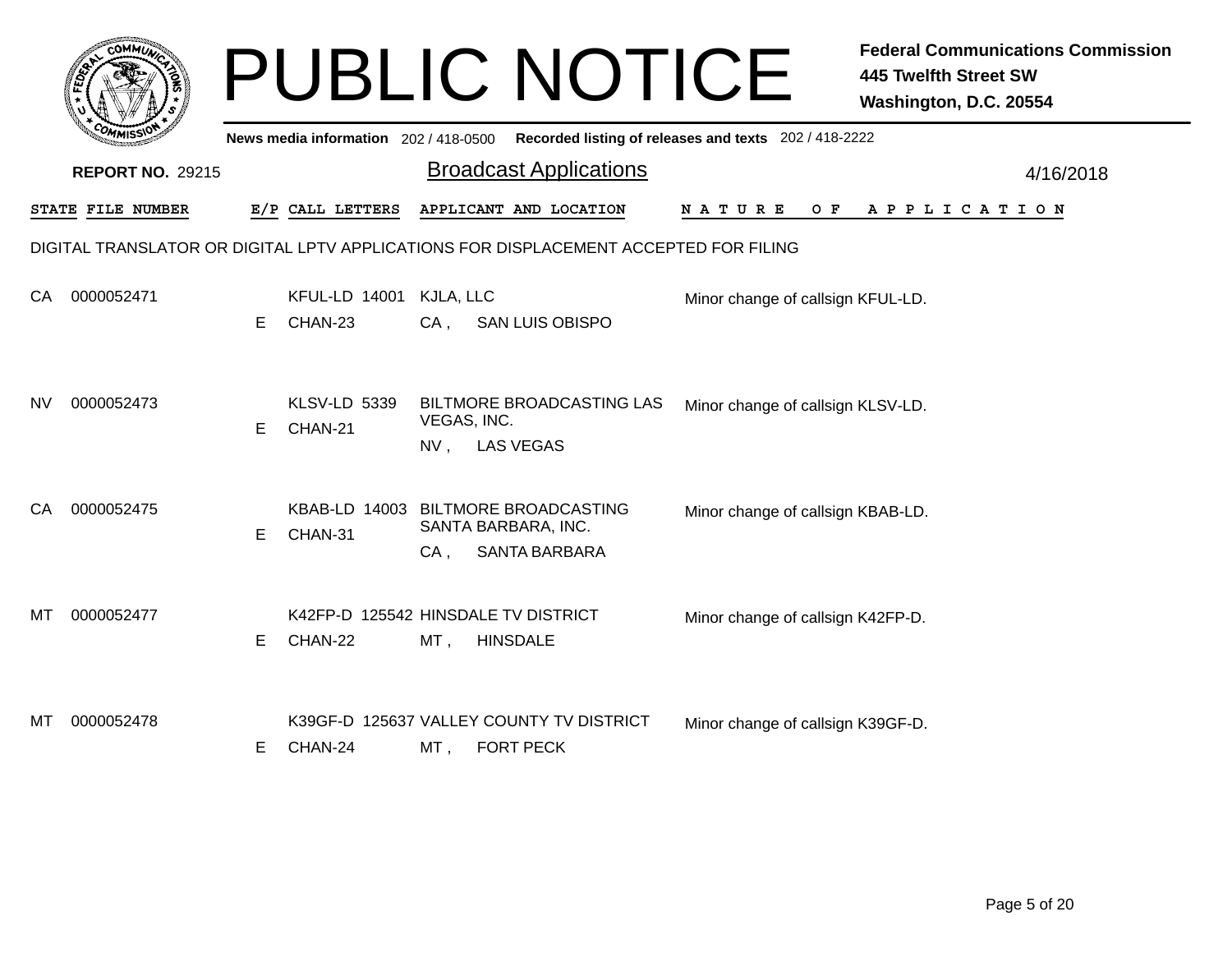|     |                                                                                      |   |                                       | <b>PUBLIC NOTICE</b><br><b>445 Twelfth Street SW</b><br>Washington, D.C. 20554                                          | <b>Federal Communications Commission</b> |  |  |  |  |  |  |
|-----|--------------------------------------------------------------------------------------|---|---------------------------------------|-------------------------------------------------------------------------------------------------------------------------|------------------------------------------|--|--|--|--|--|--|
|     |                                                                                      |   | News media information 202 / 418-0500 | Recorded listing of releases and texts 202 / 418-2222                                                                   |                                          |  |  |  |  |  |  |
|     | <b>REPORT NO. 29215</b>                                                              |   |                                       | <b>Broadcast Applications</b>                                                                                           | 4/16/2018                                |  |  |  |  |  |  |
|     | STATE FILE NUMBER                                                                    |   | E/P CALL LETTERS                      | APPLICANT AND LOCATION<br>NATURE<br>O F<br>APPLICATION                                                                  |                                          |  |  |  |  |  |  |
|     | DIGITAL TRANSLATOR OR DIGITAL LPTV APPLICATIONS FOR DISPLACEMENT ACCEPTED FOR FILING |   |                                       |                                                                                                                         |                                          |  |  |  |  |  |  |
| CA. | 0000052471                                                                           | Е | <b>KFUL-LD 14001</b><br>CHAN-23       | KJLA, LLC<br>Minor change of callsign KFUL-LD.<br>$CA$ ,<br><b>SAN LUIS OBISPO</b>                                      |                                          |  |  |  |  |  |  |
| NV. | 0000052473                                                                           | Е | <b>KLSV-LD 5339</b><br>CHAN-21        | <b>BILTMORE BROADCASTING LAS</b><br>Minor change of callsign KLSV-LD.<br>VEGAS, INC.<br><b>LAS VEGAS</b><br>NV,         |                                          |  |  |  |  |  |  |
| CA. | 0000052475                                                                           | E | CHAN-31                               | KBAB-LD 14003 BILTMORE BROADCASTING<br>Minor change of callsign KBAB-LD.<br>SANTA BARBARA, INC.<br>SANTA BARBARA<br>CA. |                                          |  |  |  |  |  |  |
| MТ  | 0000052477                                                                           | Е | CHAN-22                               | K42FP-D 125542 HINSDALE TV DISTRICT<br>Minor change of callsign K42FP-D.<br>$MT$ ,<br><b>HINSDALE</b>                   |                                          |  |  |  |  |  |  |
| MТ  | 0000052478                                                                           | Е | CHAN-24                               | K39GF-D 125637 VALLEY COUNTY TV DISTRICT<br>Minor change of callsign K39GF-D.<br><b>FORT PECK</b><br>MT,                |                                          |  |  |  |  |  |  |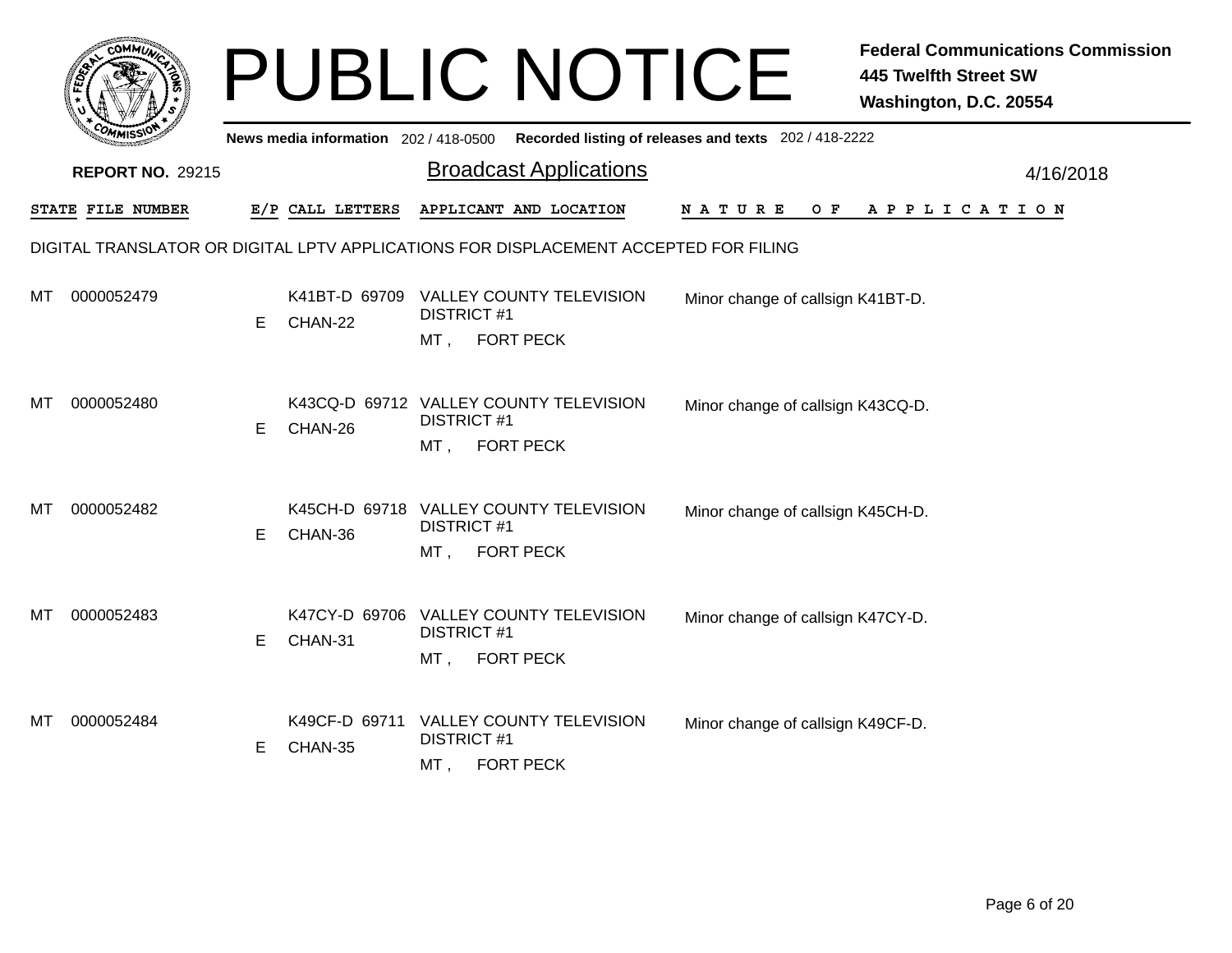|     |                         |    |                                       | <b>PUBLIC NOTICE</b>                                                                       |                                                       | <b>Federal Communications Commission</b><br><b>445 Twelfth Street SW</b><br>Washington, D.C. 20554 |
|-----|-------------------------|----|---------------------------------------|--------------------------------------------------------------------------------------------|-------------------------------------------------------|----------------------------------------------------------------------------------------------------|
|     |                         |    | News media information 202 / 418-0500 |                                                                                            | Recorded listing of releases and texts 202 / 418-2222 |                                                                                                    |
|     | <b>REPORT NO. 29215</b> |    |                                       | <b>Broadcast Applications</b>                                                              |                                                       | 4/16/2018                                                                                          |
|     | STATE FILE NUMBER       |    | E/P CALL LETTERS                      | APPLICANT AND LOCATION                                                                     | N A T U R E<br>O F                                    | A P P L I C A T I O N                                                                              |
|     |                         |    |                                       | DIGITAL TRANSLATOR OR DIGITAL LPTV APPLICATIONS FOR DISPLACEMENT ACCEPTED FOR FILING       |                                                       |                                                                                                    |
| мт  | 0000052479              | E. | CHAN-22                               | K41BT-D 69709 VALLEY COUNTY TELEVISION<br><b>DISTRICT#1</b><br><b>FORT PECK</b><br>MT .    | Minor change of callsign K41BT-D.                     |                                                                                                    |
| МT  | 0000052480              | E. | CHAN-26                               | K43CQ-D 69712 VALLEY COUNTY TELEVISION<br><b>DISTRICT #1</b><br>MT,<br><b>FORT PECK</b>    | Minor change of callsign K43CQ-D.                     |                                                                                                    |
| мт  | 0000052482              | E. | CHAN-36                               | K45CH-D 69718 VALLEY COUNTY TELEVISION<br><b>DISTRICT#1</b><br>$MT$ ,<br><b>FORT PECK</b>  | Minor change of callsign K45CH-D.                     |                                                                                                    |
| MТ  | 0000052483              | E. | CHAN-31                               | K47CY-D 69706 VALLEY COUNTY TELEVISION<br><b>DISTRICT #1</b><br><b>FORT PECK</b><br>$MT$ , | Minor change of callsign K47CY-D.                     |                                                                                                    |
| MT. | 0000052484              | E. | CHAN-35                               | K49CF-D 69711 VALLEY COUNTY TELEVISION<br><b>DISTRICT #1</b><br><b>FORT PECK</b><br>MT,    | Minor change of callsign K49CF-D.                     |                                                                                                    |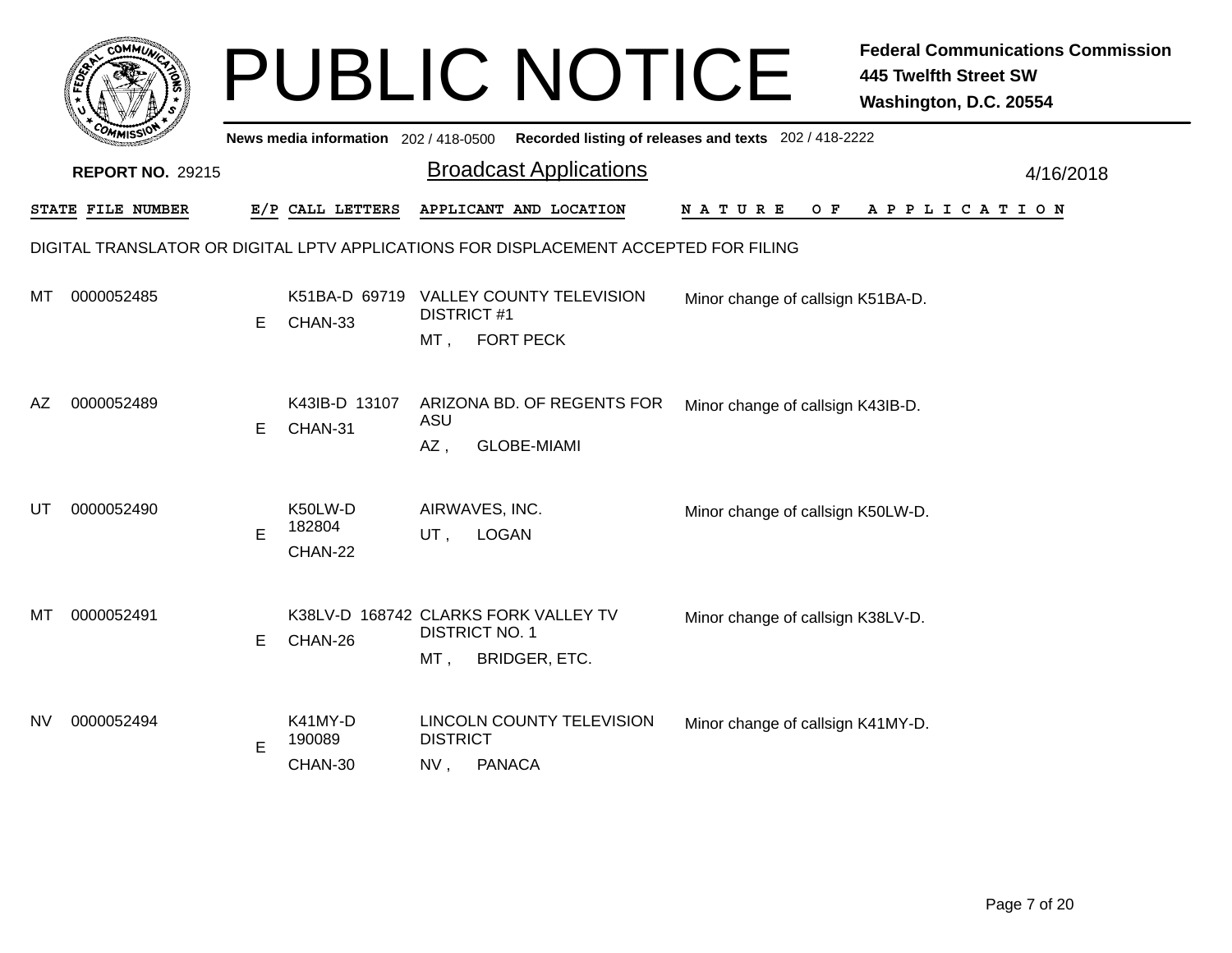|     |                                                                                      |    |                                       |                               | <b>PUBLIC NOTICE</b>                                         |                                                       | <b>Federal Communications Commission</b><br><b>445 Twelfth Street SW</b><br>Washington, D.C. 20554 |  |  |  |  |
|-----|--------------------------------------------------------------------------------------|----|---------------------------------------|-------------------------------|--------------------------------------------------------------|-------------------------------------------------------|----------------------------------------------------------------------------------------------------|--|--|--|--|
|     |                                                                                      |    | News media information 202 / 418-0500 |                               |                                                              | Recorded listing of releases and texts 202 / 418-2222 |                                                                                                    |  |  |  |  |
|     | <b>REPORT NO. 29215</b>                                                              |    |                                       |                               | <b>Broadcast Applications</b>                                |                                                       | 4/16/2018                                                                                          |  |  |  |  |
|     | STATE FILE NUMBER                                                                    |    | E/P CALL LETTERS                      |                               | APPLICANT AND LOCATION                                       | N A T U R E<br>O F                                    | A P P L I C A T I O N                                                                              |  |  |  |  |
|     | DIGITAL TRANSLATOR OR DIGITAL LPTV APPLICATIONS FOR DISPLACEMENT ACCEPTED FOR FILING |    |                                       |                               |                                                              |                                                       |                                                                                                    |  |  |  |  |
| MТ  | 0000052485                                                                           | E. | CHAN-33                               | <b>DISTRICT #1</b><br>$MT$ .  | K51BA-D 69719 VALLEY COUNTY TELEVISION<br><b>FORT PECK</b>   | Minor change of callsign K51BA-D.                     |                                                                                                    |  |  |  |  |
| AZ. | 0000052489                                                                           | E. | K43IB-D 13107<br>CHAN-31              | ASU<br>AZ,                    | ARIZONA BD. OF REGENTS FOR<br><b>GLOBE-MIAMI</b>             | Minor change of callsign K43IB-D.                     |                                                                                                    |  |  |  |  |
| UT  | 0000052490                                                                           | E  | K50LW-D<br>182804<br>CHAN-22          | AIRWAVES, INC.<br>UT,         | <b>LOGAN</b>                                                 | Minor change of callsign K50LW-D.                     |                                                                                                    |  |  |  |  |
| МT  | 0000052491                                                                           | E. | CHAN-26                               | <b>DISTRICT NO. 1</b><br>MT , | K38LV-D 168742 CLARKS FORK VALLEY TV<br><b>BRIDGER, ETC.</b> | Minor change of callsign K38LV-D.                     |                                                                                                    |  |  |  |  |
| NV  | 0000052494                                                                           | E  | K41MY-D<br>190089<br>CHAN-30          | <b>DISTRICT</b><br>NV,        | LINCOLN COUNTY TELEVISION<br><b>PANACA</b>                   | Minor change of callsign K41MY-D.                     |                                                                                                    |  |  |  |  |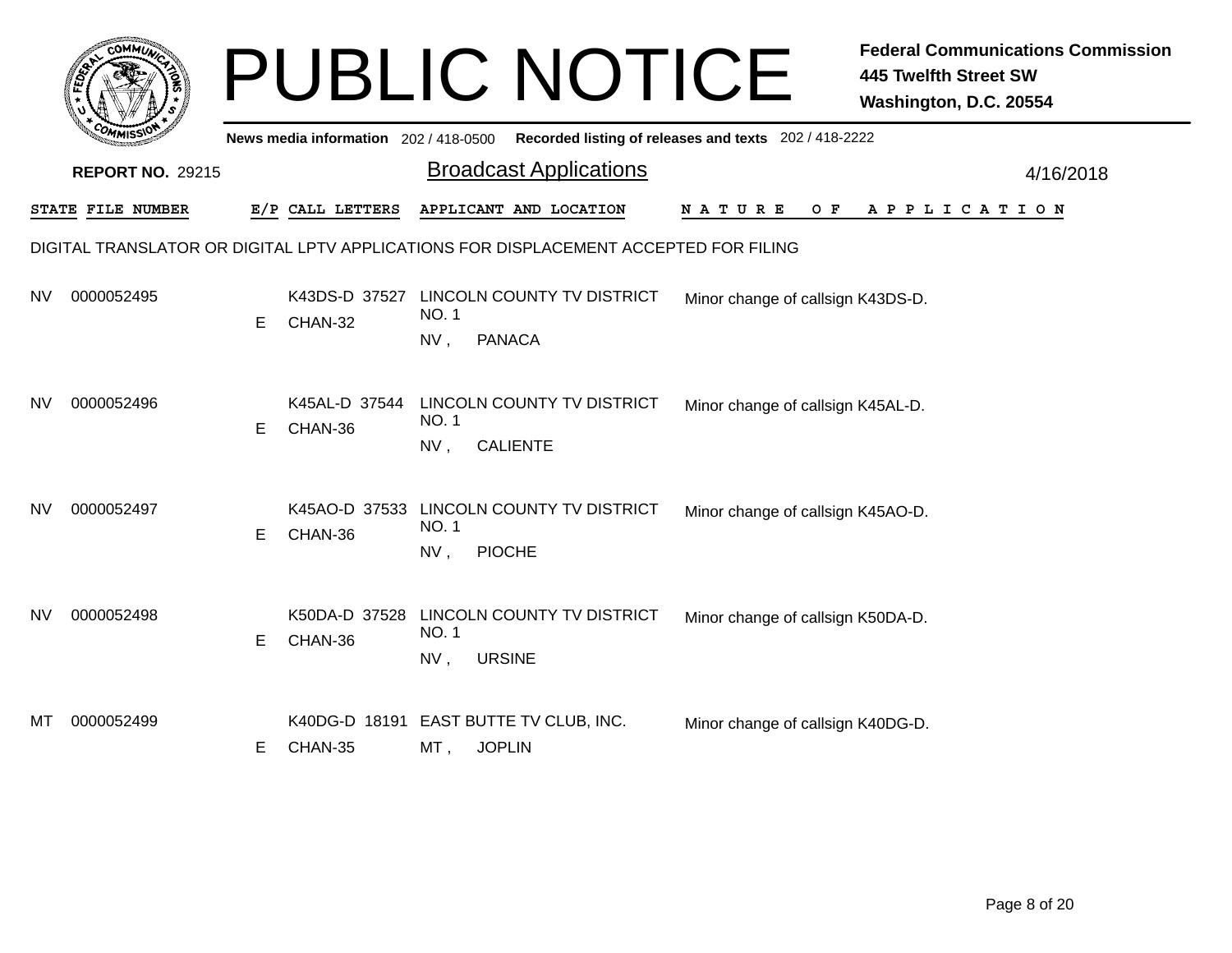|     |                         |    |                                       |                    | <b>PUBLIC NOTICE</b>                                                                 |                                                       | <b>Federal Communications Commission</b><br><b>445 Twelfth Street SW</b><br>Washington, D.C. 20554 |
|-----|-------------------------|----|---------------------------------------|--------------------|--------------------------------------------------------------------------------------|-------------------------------------------------------|----------------------------------------------------------------------------------------------------|
|     |                         |    | News media information 202 / 418-0500 |                    |                                                                                      | Recorded listing of releases and texts 202 / 418-2222 |                                                                                                    |
|     | <b>REPORT NO. 29215</b> |    |                                       |                    | <b>Broadcast Applications</b>                                                        |                                                       | 4/16/2018                                                                                          |
|     | STATE FILE NUMBER       |    | E/P CALL LETTERS                      |                    | APPLICANT AND LOCATION                                                               | N A T U R E<br>O F                                    | A P P L I C A T I O N                                                                              |
|     |                         |    |                                       |                    | DIGITAL TRANSLATOR OR DIGITAL LPTV APPLICATIONS FOR DISPLACEMENT ACCEPTED FOR FILING |                                                       |                                                                                                    |
| NV  | 0000052495              | E  | CHAN-32                               | NO. 1<br>NV,       | K43DS-D 37527 LINCOLN COUNTY TV DISTRICT<br><b>PANACA</b>                            | Minor change of callsign K43DS-D.                     |                                                                                                    |
| NV. | 0000052496              | E. | K45AL-D 37544<br>CHAN-36              | NO. 1<br>NV,       | LINCOLN COUNTY TV DISTRICT<br><b>CALIENTE</b>                                        | Minor change of callsign K45AL-D.                     |                                                                                                    |
| NV  | 0000052497              | E. | CHAN-36                               | NO. 1<br>NV,       | K45AO-D 37533 LINCOLN COUNTY TV DISTRICT<br><b>PIOCHE</b>                            | Minor change of callsign K45AO-D.                     |                                                                                                    |
| NV. | 0000052498              | Е  | K50DA-D 37528<br>CHAN-36              | <b>NO.1</b><br>NV, | <b>LINCOLN COUNTY TV DISTRICT</b><br><b>URSINE</b>                                   | Minor change of callsign K50DA-D.                     |                                                                                                    |
| МT  | 0000052499              | E. | CHAN-35                               | MT,                | K40DG-D 18191 EAST BUTTE TV CLUB, INC.<br><b>JOPLIN</b>                              | Minor change of callsign K40DG-D.                     |                                                                                                    |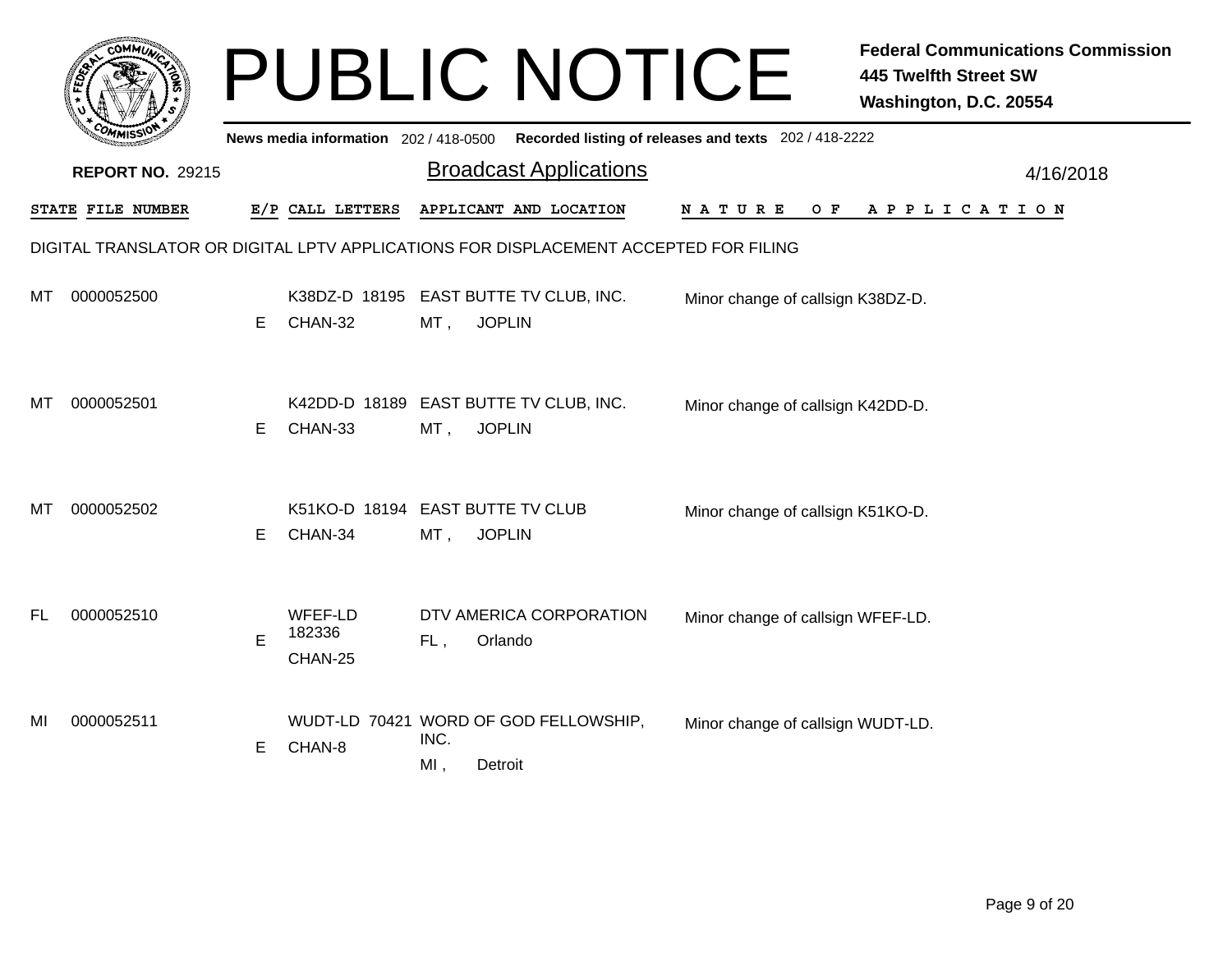|           |                                                                                      |    |                                             |                | <b>PUBLIC NOTICE</b>                                    |                                                       | <b>Federal Communications Commission</b><br>445 Twelfth Street SW<br>Washington, D.C. 20554 |  |  |  |  |
|-----------|--------------------------------------------------------------------------------------|----|---------------------------------------------|----------------|---------------------------------------------------------|-------------------------------------------------------|---------------------------------------------------------------------------------------------|--|--|--|--|
|           |                                                                                      |    | News media information 202 / 418-0500       |                |                                                         | Recorded listing of releases and texts 202 / 418-2222 |                                                                                             |  |  |  |  |
|           | <b>REPORT NO. 29215</b>                                                              |    |                                             |                | <b>Broadcast Applications</b>                           |                                                       | 4/16/2018                                                                                   |  |  |  |  |
|           | STATE FILE NUMBER                                                                    |    | E/P CALL LETTERS                            |                | APPLICANT AND LOCATION                                  | N A T U R E<br>O F                                    | APPLICATION                                                                                 |  |  |  |  |
|           | DIGITAL TRANSLATOR OR DIGITAL LPTV APPLICATIONS FOR DISPLACEMENT ACCEPTED FOR FILING |    |                                             |                |                                                         |                                                       |                                                                                             |  |  |  |  |
| мт        | 0000052500                                                                           | E. | CHAN-32                                     | MT,            | K38DZ-D 18195 EAST BUTTE TV CLUB, INC.<br><b>JOPLIN</b> | Minor change of callsign K38DZ-D.                     |                                                                                             |  |  |  |  |
| MТ        | 0000052501                                                                           | E. | CHAN-33                                     | MT,            | K42DD-D 18189 EAST BUTTE TV CLUB, INC.<br><b>JOPLIN</b> | Minor change of callsign K42DD-D.                     |                                                                                             |  |  |  |  |
| мт        | 0000052502                                                                           | Е  | K51KO-D 18194 EAST BUTTE TV CLUB<br>CHAN-34 | $MT$ ,         | <b>JOPLIN</b>                                           | Minor change of callsign K51KO-D.                     |                                                                                             |  |  |  |  |
| <b>FL</b> | 0000052510                                                                           | E  | WFEF-LD<br>182336<br>CHAN-25                | FL,            | DTV AMERICA CORPORATION<br>Orlando                      | Minor change of callsign WFEF-LD.                     |                                                                                             |  |  |  |  |
| MI        | 0000052511                                                                           | E. | CHAN-8                                      | INC.<br>$MI$ , | WUDT-LD 70421 WORD OF GOD FELLOWSHIP,<br>Detroit        | Minor change of callsign WUDT-LD.                     |                                                                                             |  |  |  |  |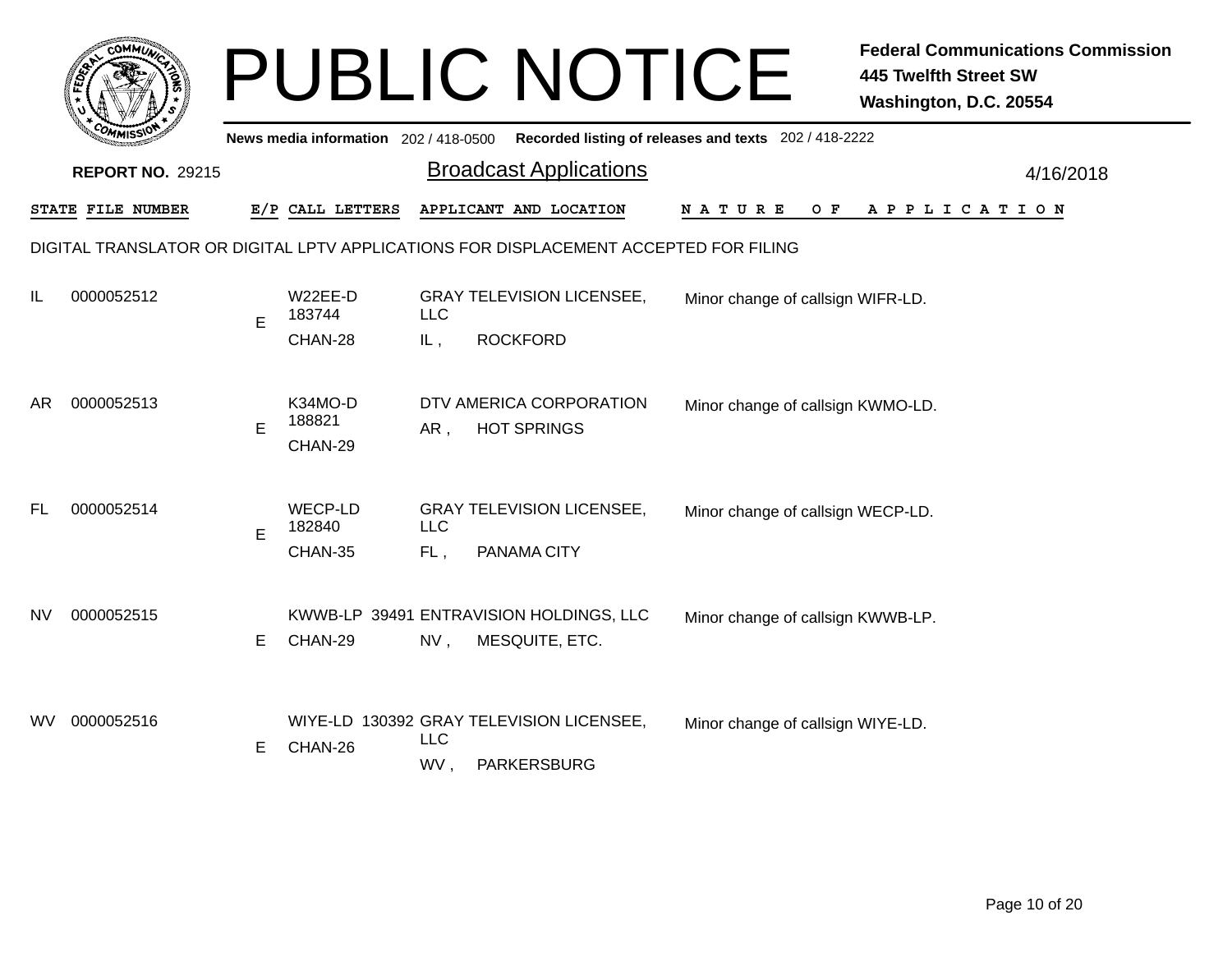|           | COMMUT                  |    |                                       |                   | <b>PUBLIC NOTICE</b>                                                                 |                                   | <b>Federal Communications Commission</b><br>445 Twelfth Street SW<br>Washington, D.C. 20554 |
|-----------|-------------------------|----|---------------------------------------|-------------------|--------------------------------------------------------------------------------------|-----------------------------------|---------------------------------------------------------------------------------------------|
|           |                         |    | News media information 202 / 418-0500 |                   | Recorded listing of releases and texts 202 / 418-2222                                |                                   |                                                                                             |
|           | <b>REPORT NO. 29215</b> |    |                                       |                   | <b>Broadcast Applications</b>                                                        |                                   | 4/16/2018                                                                                   |
|           | STATE FILE NUMBER       |    | E/P CALL LETTERS                      |                   | APPLICANT AND LOCATION                                                               | N A T U R E<br>O F                | A P P L I C A T I O N                                                                       |
|           |                         |    |                                       |                   | DIGITAL TRANSLATOR OR DIGITAL LPTV APPLICATIONS FOR DISPLACEMENT ACCEPTED FOR FILING |                                   |                                                                                             |
| IL        | 0000052512              | E  | W22EE-D<br>183744                     | <b>LLC</b>        | <b>GRAY TELEVISION LICENSEE,</b>                                                     | Minor change of callsign WIFR-LD. |                                                                                             |
|           |                         |    | CHAN-28                               | IL,               | <b>ROCKFORD</b>                                                                      |                                   |                                                                                             |
| AR.       | 0000052513              | E  | K34MO-D<br>188821<br>CHAN-29          | AR,               | DTV AMERICA CORPORATION<br><b>HOT SPRINGS</b>                                        | Minor change of callsign KWMO-LD. |                                                                                             |
| <b>FL</b> | 0000052514              | E  | WECP-LD<br>182840<br>CHAN-35          | <b>LLC</b><br>FL, | <b>GRAY TELEVISION LICENSEE,</b><br>PANAMA CITY                                      | Minor change of callsign WECP-LD. |                                                                                             |
| NV        | 0000052515              | E. | CHAN-29                               | $NV$ ,            | KWWB-LP 39491 ENTRAVISION HOLDINGS, LLC<br>MESQUITE, ETC.                            | Minor change of callsign KWWB-LP. |                                                                                             |
| WV.       | 0000052516              | E. | CHAN-26                               | <b>LLC</b><br>WV, | WIYE-LD 130392 GRAY TELEVISION LICENSEE,<br>PARKERSBURG                              | Minor change of callsign WIYE-LD. |                                                                                             |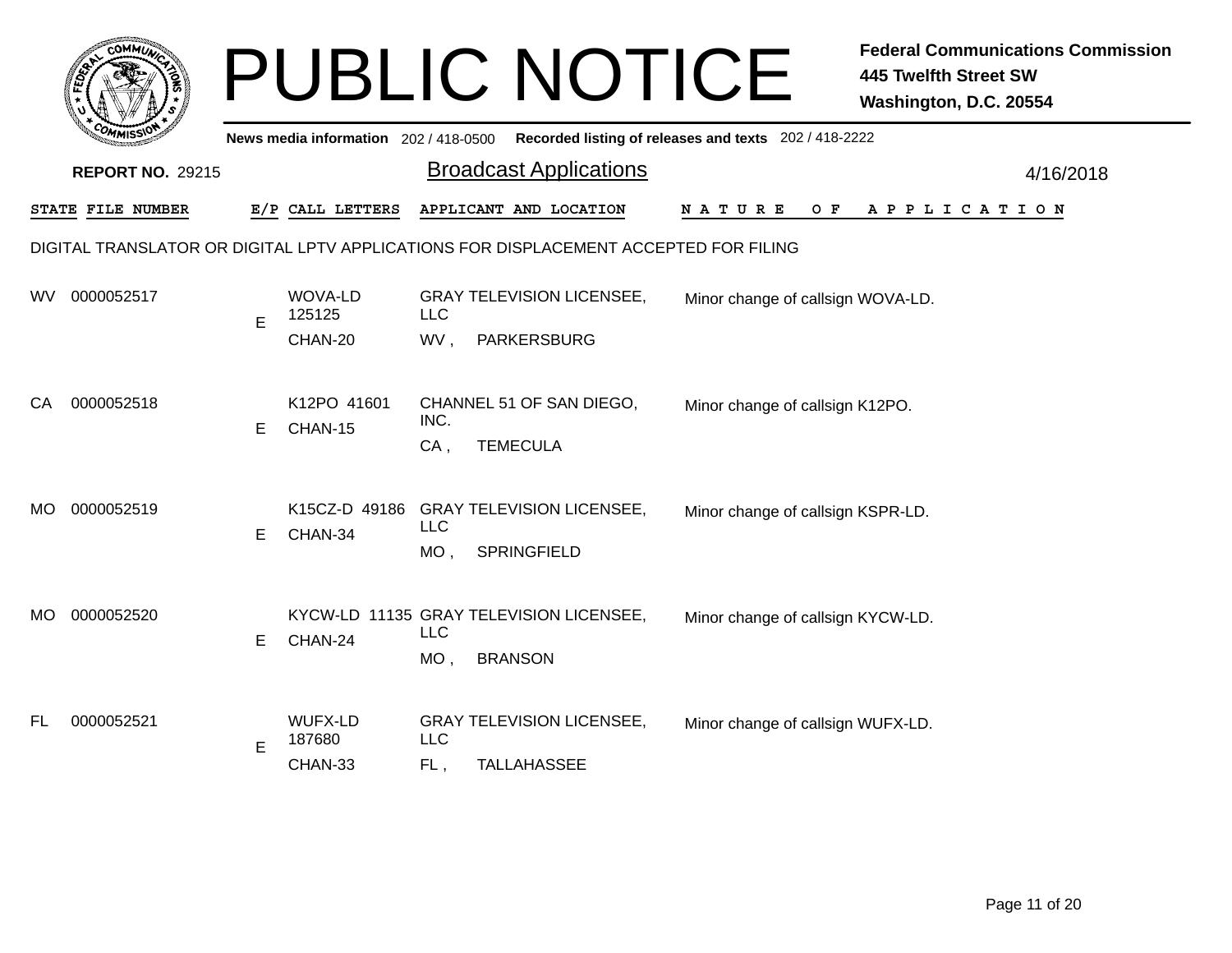|           | COMMUN                                                                               |    |                                       |             | <b>PUBLIC NOTICE</b>                                  |                                   | <b>Federal Communications Commission</b><br><b>445 Twelfth Street SW</b><br>Washington, D.C. 20554 |  |  |  |  |  |
|-----------|--------------------------------------------------------------------------------------|----|---------------------------------------|-------------|-------------------------------------------------------|-----------------------------------|----------------------------------------------------------------------------------------------------|--|--|--|--|--|
|           |                                                                                      |    | News media information 202 / 418-0500 |             | Recorded listing of releases and texts 202 / 418-2222 |                                   |                                                                                                    |  |  |  |  |  |
|           | <b>REPORT NO. 29215</b>                                                              |    |                                       |             | <b>Broadcast Applications</b>                         |                                   | 4/16/2018                                                                                          |  |  |  |  |  |
|           | <b>STATE FILE NUMBER</b>                                                             |    | E/P CALL LETTERS                      |             | APPLICANT AND LOCATION                                | N A T U R E<br>O F                | A P P L I C A T I O N                                                                              |  |  |  |  |  |
|           | DIGITAL TRANSLATOR OR DIGITAL LPTV APPLICATIONS FOR DISPLACEMENT ACCEPTED FOR FILING |    |                                       |             |                                                       |                                   |                                                                                                    |  |  |  |  |  |
| wv        | 0000052517                                                                           | E  | WOVA-LD<br>125125                     | <b>LLC</b>  | <b>GRAY TELEVISION LICENSEE,</b>                      | Minor change of callsign WOVA-LD. |                                                                                                    |  |  |  |  |  |
|           |                                                                                      |    | CHAN-20                               | WV,         | <b>PARKERSBURG</b>                                    |                                   |                                                                                                    |  |  |  |  |  |
| CA        | 0000052518                                                                           | E. | K12PO 41601<br>CHAN-15                | INC.<br>CA, | CHANNEL 51 OF SAN DIEGO,<br><b>TEMECULA</b>           | Minor change of callsign K12PO.   |                                                                                                    |  |  |  |  |  |
|           |                                                                                      |    |                                       |             |                                                       |                                   |                                                                                                    |  |  |  |  |  |
| MO.       | 0000052519                                                                           | E. | CHAN-34                               | <b>LLC</b>  | K15CZ-D 49186 GRAY TELEVISION LICENSEE,               | Minor change of callsign KSPR-LD. |                                                                                                    |  |  |  |  |  |
|           |                                                                                      |    |                                       | $MO$ ,      | <b>SPRINGFIELD</b>                                    |                                   |                                                                                                    |  |  |  |  |  |
| MO.       | 0000052520                                                                           |    |                                       | <b>LLC</b>  | KYCW-LD 11135 GRAY TELEVISION LICENSEE,               | Minor change of callsign KYCW-LD. |                                                                                                    |  |  |  |  |  |
|           |                                                                                      | E. | CHAN-24                               | $MO$ ,      | <b>BRANSON</b>                                        |                                   |                                                                                                    |  |  |  |  |  |
| <b>FL</b> | 0000052521                                                                           |    | WUFX-LD<br>187680                     | <b>LLC</b>  | <b>GRAY TELEVISION LICENSEE,</b>                      | Minor change of callsign WUFX-LD. |                                                                                                    |  |  |  |  |  |
|           |                                                                                      | E  | CHAN-33                               | FL,         | <b>TALLAHASSEE</b>                                    |                                   |                                                                                                    |  |  |  |  |  |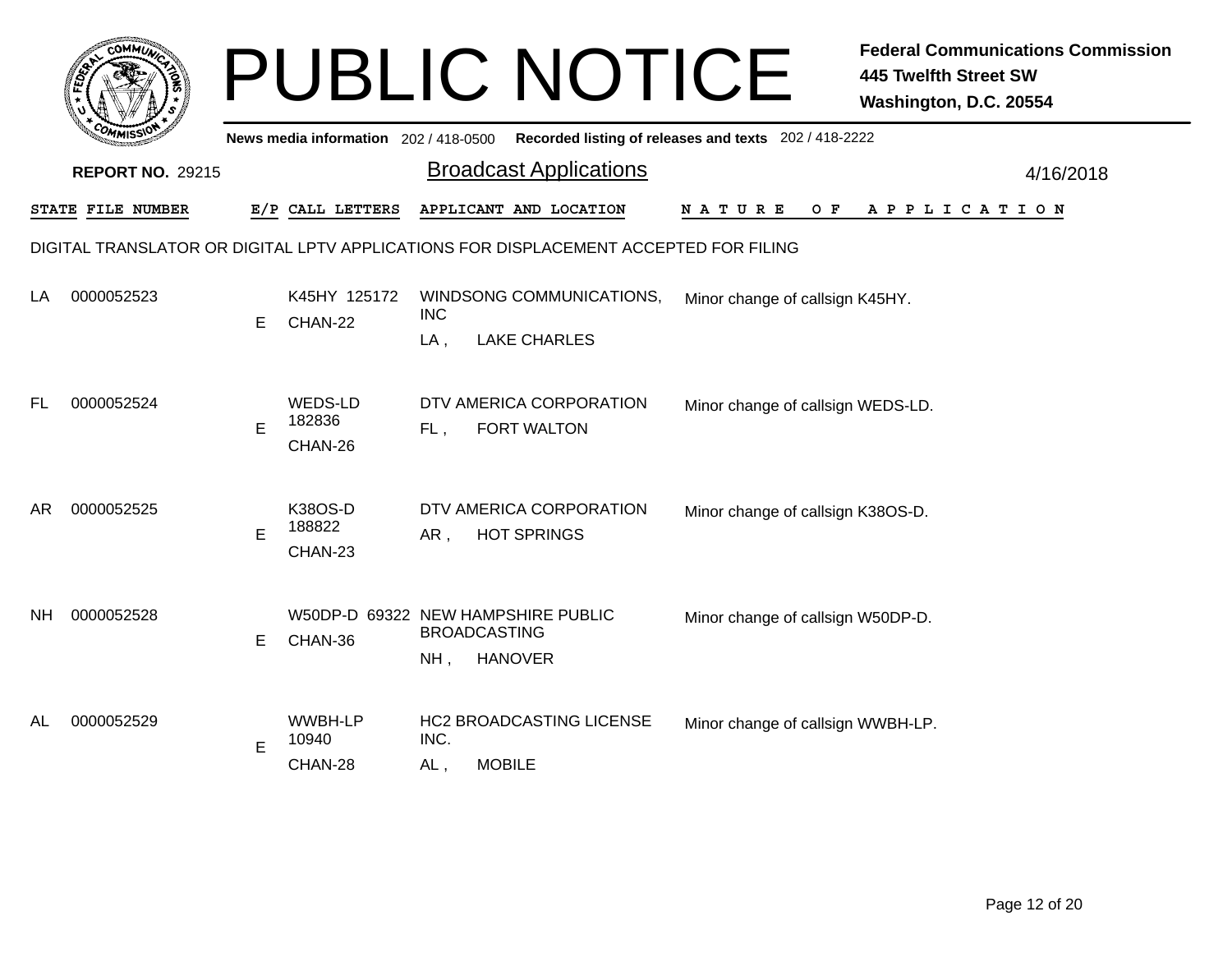|     | <b>COMMUT</b>                                                                        |    |                                       |                                                                           | <b>PUBLIC NOTICE</b>                                                        |                                                       | <b>Federal Communications Commission</b><br><b>445 Twelfth Street SW</b><br>Washington, D.C. 20554 |  |  |  |  |  |
|-----|--------------------------------------------------------------------------------------|----|---------------------------------------|---------------------------------------------------------------------------|-----------------------------------------------------------------------------|-------------------------------------------------------|----------------------------------------------------------------------------------------------------|--|--|--|--|--|
|     |                                                                                      |    | News media information 202 / 418-0500 |                                                                           |                                                                             | Recorded listing of releases and texts 202 / 418-2222 |                                                                                                    |  |  |  |  |  |
|     | <b>REPORT NO. 29215</b>                                                              |    |                                       |                                                                           | <b>Broadcast Applications</b>                                               |                                                       | 4/16/2018                                                                                          |  |  |  |  |  |
|     | STATE FILE NUMBER                                                                    |    | E/P CALL LETTERS                      |                                                                           | APPLICANT AND LOCATION                                                      | N A T U R E<br>O F                                    | A P P L I C A T I O N                                                                              |  |  |  |  |  |
|     | DIGITAL TRANSLATOR OR DIGITAL LPTV APPLICATIONS FOR DISPLACEMENT ACCEPTED FOR FILING |    |                                       |                                                                           |                                                                             |                                                       |                                                                                                    |  |  |  |  |  |
| LA  | 0000052523                                                                           | E. | K45HY 125172<br>CHAN-22               | WINDSONG COMMUNICATIONS,<br>Minor change of callsign K45HY.<br><b>INC</b> |                                                                             |                                                       |                                                                                                    |  |  |  |  |  |
|     |                                                                                      |    |                                       | $LA$ ,                                                                    | <b>LAKE CHARLES</b>                                                         |                                                       |                                                                                                    |  |  |  |  |  |
| FL  | 0000052524                                                                           | E  | WEDS-LD<br>182836<br>CHAN-26          | FL,                                                                       | DTV AMERICA CORPORATION<br><b>FORT WALTON</b>                               | Minor change of callsign WEDS-LD.                     |                                                                                                    |  |  |  |  |  |
| AR  | 0000052525                                                                           | E  | K38OS-D<br>188822<br>CHAN-23          | AR,                                                                       | DTV AMERICA CORPORATION<br><b>HOT SPRINGS</b>                               | Minor change of callsign K38OS-D.                     |                                                                                                    |  |  |  |  |  |
| NH. | 0000052528                                                                           | E. | CHAN-36                               | NH,                                                                       | W50DP-D 69322 NEW HAMPSHIRE PUBLIC<br><b>BROADCASTING</b><br><b>HANOVER</b> | Minor change of callsign W50DP-D.                     |                                                                                                    |  |  |  |  |  |
| AL  | 0000052529                                                                           | E  | WWBH-LP<br>10940<br>CHAN-28           | INC.<br>$AL$ ,                                                            | <b>HC2 BROADCASTING LICENSE</b><br><b>MOBILE</b>                            | Minor change of callsign WWBH-LP.                     |                                                                                                    |  |  |  |  |  |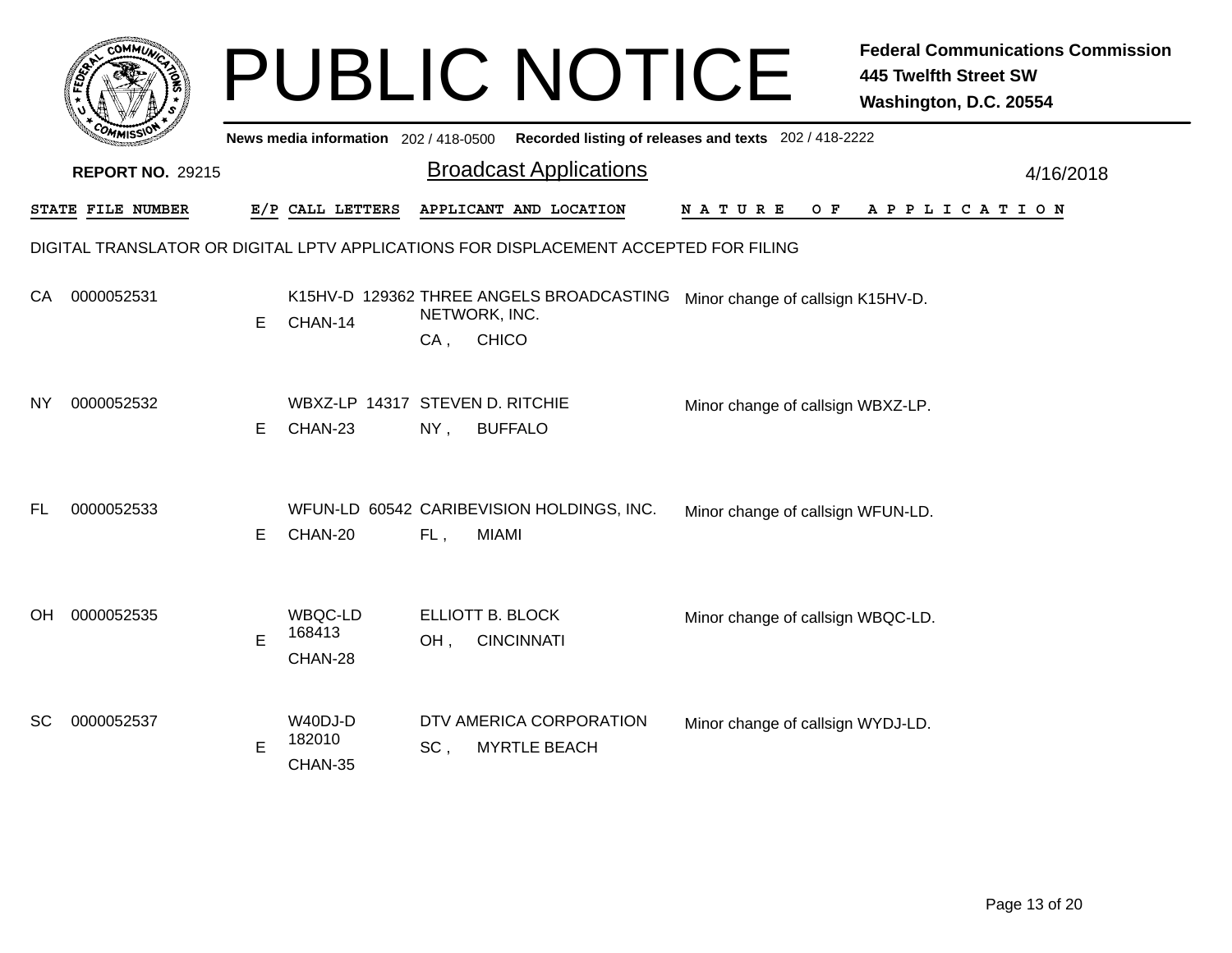|     | <b>COMMU</b>            |   |                                            |                         | <b>PUBLIC NOTICE</b>                                                                 |                                                       | <b>Federal Communications Commission</b><br><b>445 Twelfth Street SW</b><br>Washington, D.C. 20554 |
|-----|-------------------------|---|--------------------------------------------|-------------------------|--------------------------------------------------------------------------------------|-------------------------------------------------------|----------------------------------------------------------------------------------------------------|
|     |                         |   | News media information 202 / 418-0500      |                         |                                                                                      | Recorded listing of releases and texts 202 / 418-2222 |                                                                                                    |
|     | <b>REPORT NO. 29215</b> |   |                                            |                         | <b>Broadcast Applications</b>                                                        |                                                       | 4/16/2018                                                                                          |
|     | STATE FILE NUMBER       |   | E/P CALL LETTERS                           |                         | APPLICANT AND LOCATION                                                               | N A T U R E<br>O F                                    | A P P L I C A T I O N                                                                              |
|     |                         |   |                                            |                         | DIGITAL TRANSLATOR OR DIGITAL LPTV APPLICATIONS FOR DISPLACEMENT ACCEPTED FOR FILING |                                                       |                                                                                                    |
| СA  | 0000052531              | Е | CHAN-14                                    | NETWORK, INC.<br>$CA$ , | K15HV-D 129362 THREE ANGELS BROADCASTING<br><b>CHICO</b>                             | Minor change of callsign K15HV-D.                     |                                                                                                    |
| NY. | 0000052532              | Е | WBXZ-LP 14317 STEVEN D. RITCHIE<br>CHAN-23 | $NY$ ,                  | <b>BUFFALO</b>                                                                       | Minor change of callsign WBXZ-LP.                     |                                                                                                    |
| FL  | 0000052533              | E | CHAN-20                                    | FL,                     | WFUN-LD 60542 CARIBEVISION HOLDINGS, INC.<br><b>MIAMI</b>                            | Minor change of callsign WFUN-LD.                     |                                                                                                    |
| OH. | 0000052535              | E | WBQC-LD<br>168413<br>CHAN-28               | ELLIOTT B. BLOCK<br>OH, | <b>CINCINNATI</b>                                                                    | Minor change of callsign WBQC-LD.                     |                                                                                                    |
| SC  | 0000052537              | E | W40DJ-D<br>182010<br>CHAN-35               | SC,                     | DTV AMERICA CORPORATION<br><b>MYRTLE BEACH</b>                                       | Minor change of callsign WYDJ-LD.                     |                                                                                                    |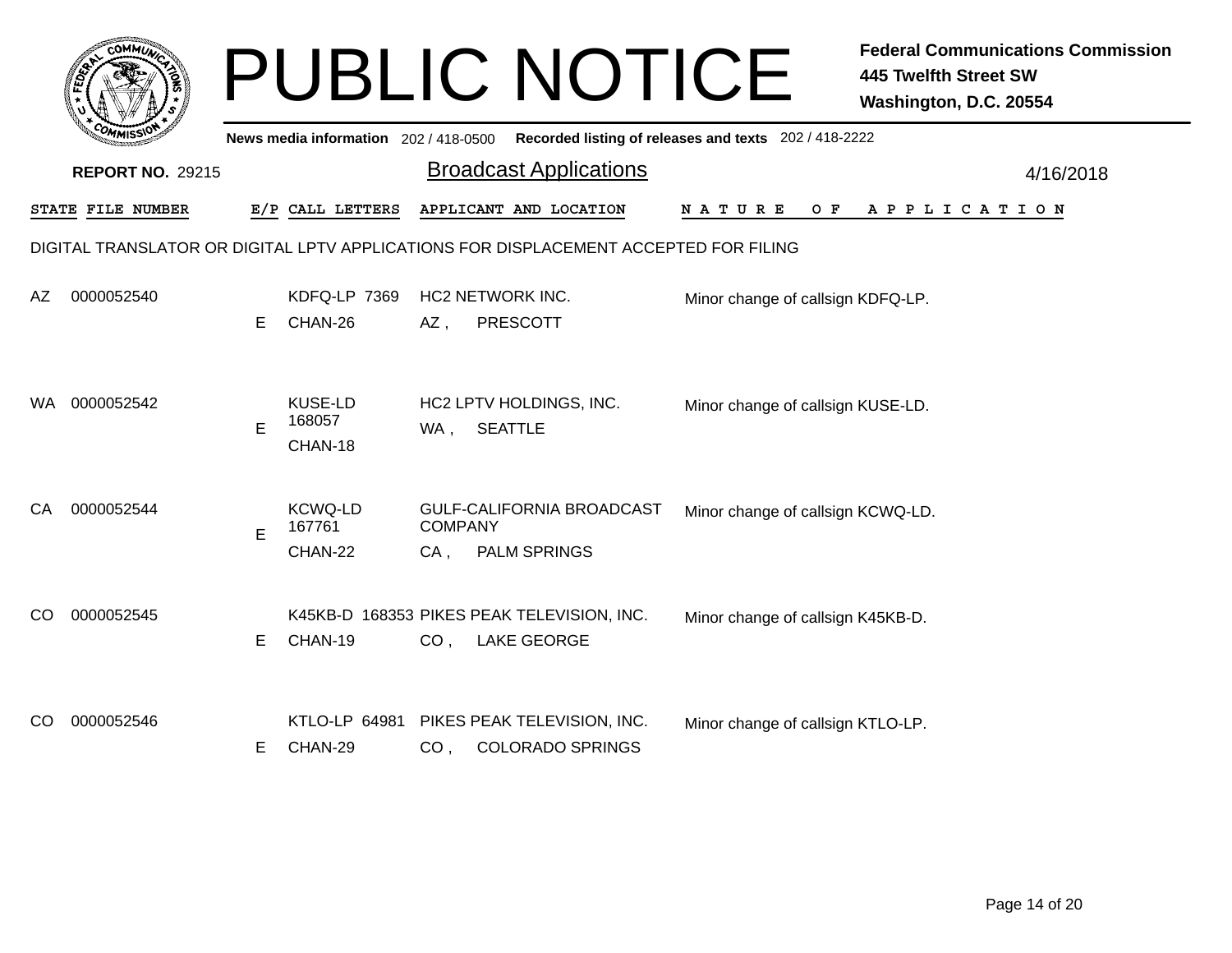|     | <b>COMMUT</b>                                                                        |    |                                       |                       | <b>PUBLIC NOTICE</b>                                             |                                                       | <b>Federal Communications Commission</b><br><b>445 Twelfth Street SW</b><br>Washington, D.C. 20554 |  |  |  |
|-----|--------------------------------------------------------------------------------------|----|---------------------------------------|-----------------------|------------------------------------------------------------------|-------------------------------------------------------|----------------------------------------------------------------------------------------------------|--|--|--|
|     |                                                                                      |    | News media information 202 / 418-0500 |                       |                                                                  | Recorded listing of releases and texts 202 / 418-2222 |                                                                                                    |  |  |  |
|     | <b>REPORT NO. 29215</b>                                                              |    |                                       |                       | <b>Broadcast Applications</b>                                    |                                                       | 4/16/2018                                                                                          |  |  |  |
|     | STATE FILE NUMBER                                                                    |    | E/P CALL LETTERS                      |                       | APPLICANT AND LOCATION                                           | N A T U R E<br>O F                                    | A P P L I C A T I O N                                                                              |  |  |  |
|     | DIGITAL TRANSLATOR OR DIGITAL LPTV APPLICATIONS FOR DISPLACEMENT ACCEPTED FOR FILING |    |                                       |                       |                                                                  |                                                       |                                                                                                    |  |  |  |
| AZ. | 0000052540                                                                           | E. | KDFQ-LP 7369<br>CHAN-26               | AZ,                   | <b>HC2 NETWORK INC.</b><br><b>PRESCOTT</b>                       | Minor change of callsign KDFQ-LP.                     |                                                                                                    |  |  |  |
| WA. | 0000052542                                                                           | E  | <b>KUSE-LD</b><br>168057<br>CHAN-18   | WA,                   | HC2 LPTV HOLDINGS, INC.<br><b>SEATTLE</b>                        | Minor change of callsign KUSE-LD.                     |                                                                                                    |  |  |  |
| СA  | 0000052544                                                                           | E  | <b>KCWQ-LD</b><br>167761<br>CHAN-22   | <b>COMPANY</b><br>CA, | GULF-CALIFORNIA BROADCAST<br><b>PALM SPRINGS</b>                 | Minor change of callsign KCWQ-LD.                     |                                                                                                    |  |  |  |
| CO. | 0000052545                                                                           | E. | CHAN-19                               | CO <sub>1</sub>       | K45KB-D 168353 PIKES PEAK TELEVISION, INC.<br><b>LAKE GEORGE</b> | Minor change of callsign K45KB-D.                     |                                                                                                    |  |  |  |
| CO  | 0000052546                                                                           | Е  | KTLO-LP 64981<br>CHAN-29              | CO <sub>1</sub>       | PIKES PEAK TELEVISION, INC.<br><b>COLORADO SPRINGS</b>           | Minor change of callsign KTLO-LP.                     |                                                                                                    |  |  |  |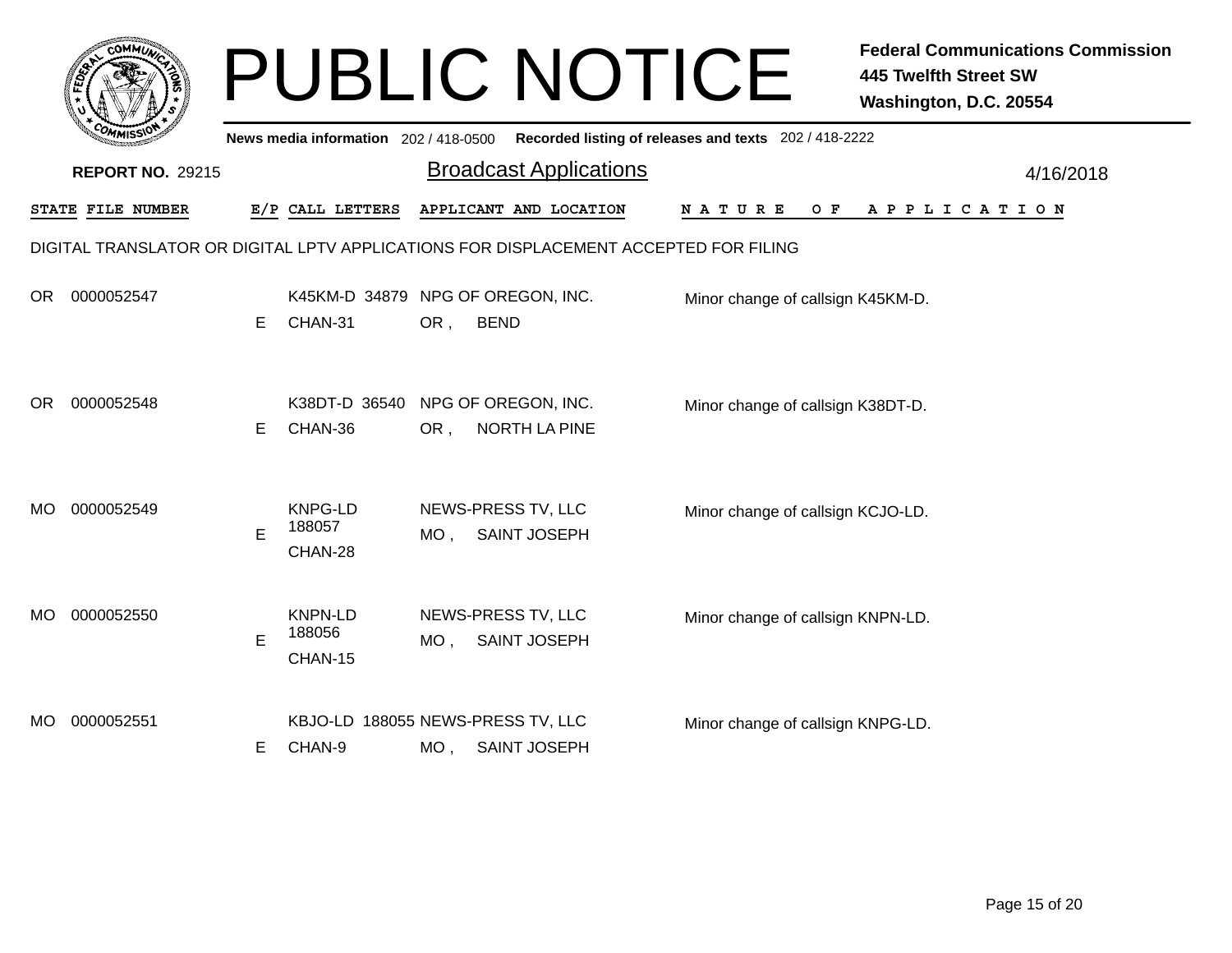|     |                         |    |                                              |        | <b>PUBLIC NOTICE</b>                                                                 |                                                       | <b>Federal Communications Commission</b><br>445 Twelfth Street SW<br>Washington, D.C. 20554 |
|-----|-------------------------|----|----------------------------------------------|--------|--------------------------------------------------------------------------------------|-------------------------------------------------------|---------------------------------------------------------------------------------------------|
|     |                         |    | News media information 202 / 418-0500        |        |                                                                                      | Recorded listing of releases and texts 202 / 418-2222 |                                                                                             |
|     | <b>REPORT NO. 29215</b> |    |                                              |        | <b>Broadcast Applications</b>                                                        |                                                       | 4/16/2018                                                                                   |
|     | STATE FILE NUMBER       |    | E/P CALL LETTERS                             |        | APPLICANT AND LOCATION                                                               | N A T U R E<br>O F                                    | A P P L I C A T I O N                                                                       |
|     |                         |    |                                              |        | DIGITAL TRANSLATOR OR DIGITAL LPTV APPLICATIONS FOR DISPLACEMENT ACCEPTED FOR FILING |                                                       |                                                                                             |
| OR. | 0000052547              | E. | K45KM-D 34879 NPG OF OREGON, INC.<br>CHAN-31 | OR,    | <b>BEND</b>                                                                          | Minor change of callsign K45KM-D.                     |                                                                                             |
| OR. | 0000052548              | Е  | K38DT-D 36540<br>CHAN-36                     | OR,    | NPG OF OREGON, INC.<br><b>NORTH LA PINE</b>                                          | Minor change of callsign K38DT-D.                     |                                                                                             |
| MO. | 0000052549              | E  | KNPG-LD<br>188057<br>CHAN-28                 | MO.    | NEWS-PRESS TV, LLC<br><b>SAINT JOSEPH</b>                                            | Minor change of callsign KCJO-LD.                     |                                                                                             |
| MO. | 0000052550              | E  | <b>KNPN-LD</b><br>188056<br>CHAN-15          | $MO$ , | NEWS-PRESS TV, LLC<br><b>SAINT JOSEPH</b>                                            | Minor change of callsign KNPN-LD.                     |                                                                                             |
| MO. | 0000052551              | Е  | KBJO-LD 188055 NEWS-PRESS TV, LLC<br>CHAN-9  |        | MO, SAINT JOSEPH                                                                     | Minor change of callsign KNPG-LD.                     |                                                                                             |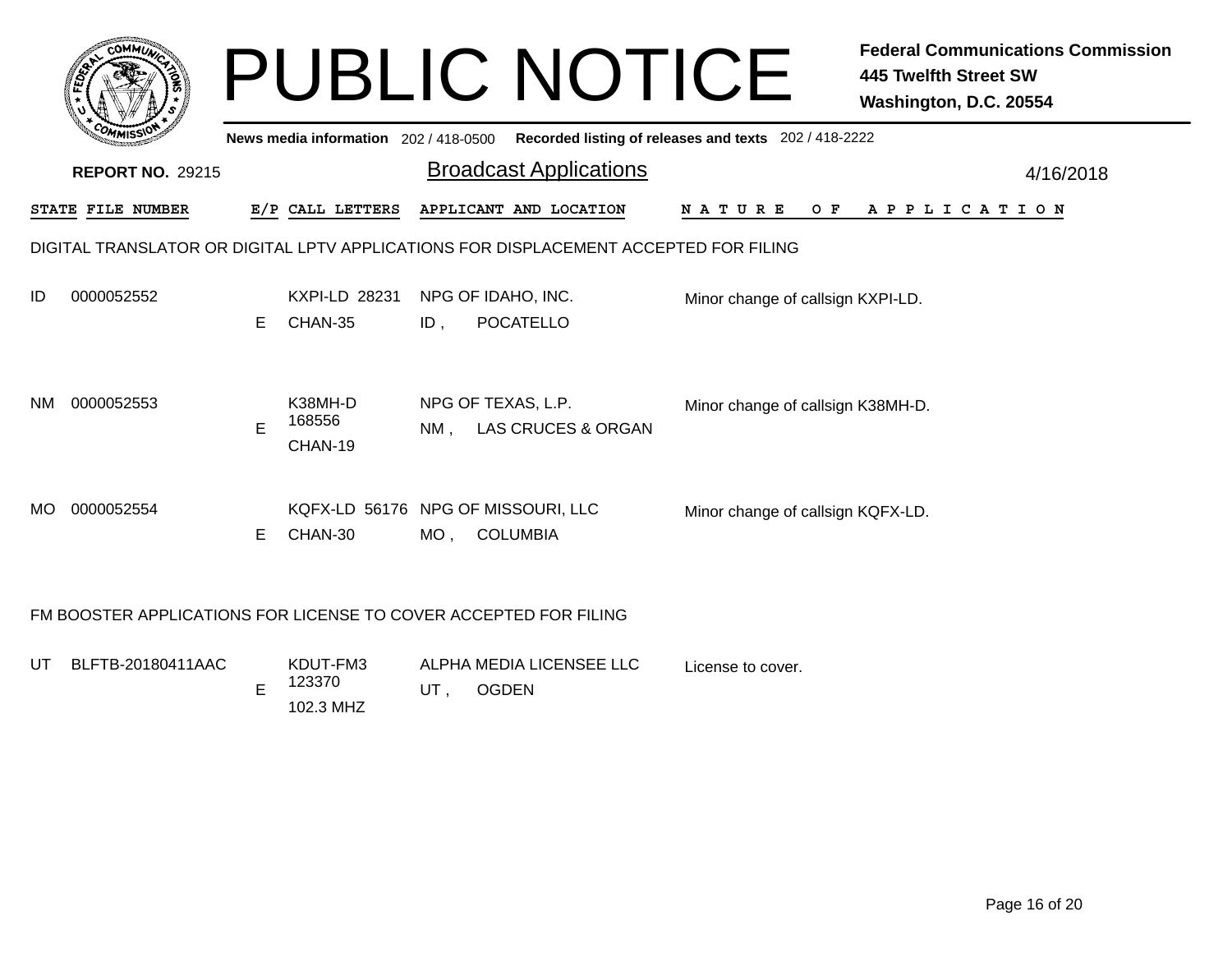|     |                                                                                      |    | <b>PUBLIC NOTICE</b>                  |        | <b>Federal Communications Commission</b><br><b>445 Twelfth Street SW</b><br>Washington, D.C. 20554 |                                                       |                       |  |  |  |
|-----|--------------------------------------------------------------------------------------|----|---------------------------------------|--------|----------------------------------------------------------------------------------------------------|-------------------------------------------------------|-----------------------|--|--|--|
|     |                                                                                      |    | News media information 202 / 418-0500 |        |                                                                                                    | Recorded listing of releases and texts 202 / 418-2222 |                       |  |  |  |
|     | <b>REPORT NO. 29215</b>                                                              |    |                                       |        | <b>Broadcast Applications</b>                                                                      |                                                       | 4/16/2018             |  |  |  |
|     | STATE FILE NUMBER                                                                    |    | E/P CALL LETTERS                      |        | APPLICANT AND LOCATION                                                                             |                                                       | NATURE OF APPLICATION |  |  |  |
|     | DIGITAL TRANSLATOR OR DIGITAL LPTV APPLICATIONS FOR DISPLACEMENT ACCEPTED FOR FILING |    |                                       |        |                                                                                                    |                                                       |                       |  |  |  |
| ID  | 0000052552                                                                           | E. | KXPI-LD 28231<br>CHAN-35              | $ID$ , | NPG OF IDAHO, INC.<br>POCATELLO                                                                    | Minor change of callsign KXPI-LD.                     |                       |  |  |  |
| NM. | 0000052553                                                                           | E  | K38MH-D<br>168556<br>CHAN-19          | $NM$ . | NPG OF TEXAS, L.P.<br>LAS CRUCES & ORGAN                                                           | Minor change of callsign K38MH-D.                     |                       |  |  |  |
| MO. | 0000052554                                                                           | E  | CHAN-30                               | MO,    | KQFX-LD 56176 NPG OF MISSOURI, LLC<br><b>COLUMBIA</b>                                              | Minor change of callsign KQFX-LD.                     |                       |  |  |  |
|     | FM BOOSTER APPLICATIONS FOR LICENSE TO COVER ACCEPTED FOR FILING                     |    |                                       |        |                                                                                                    |                                                       |                       |  |  |  |
|     |                                                                                      |    |                                       |        |                                                                                                    |                                                       |                       |  |  |  |

License to cover.

KDUT-FM3 123370 UT BLFTB-20180411AAC T BLFTB-20180411AAC KDUT-FM3 ALPHA MEDIA LICENSEE LLC UT , OGDEN 102.3 MHZ E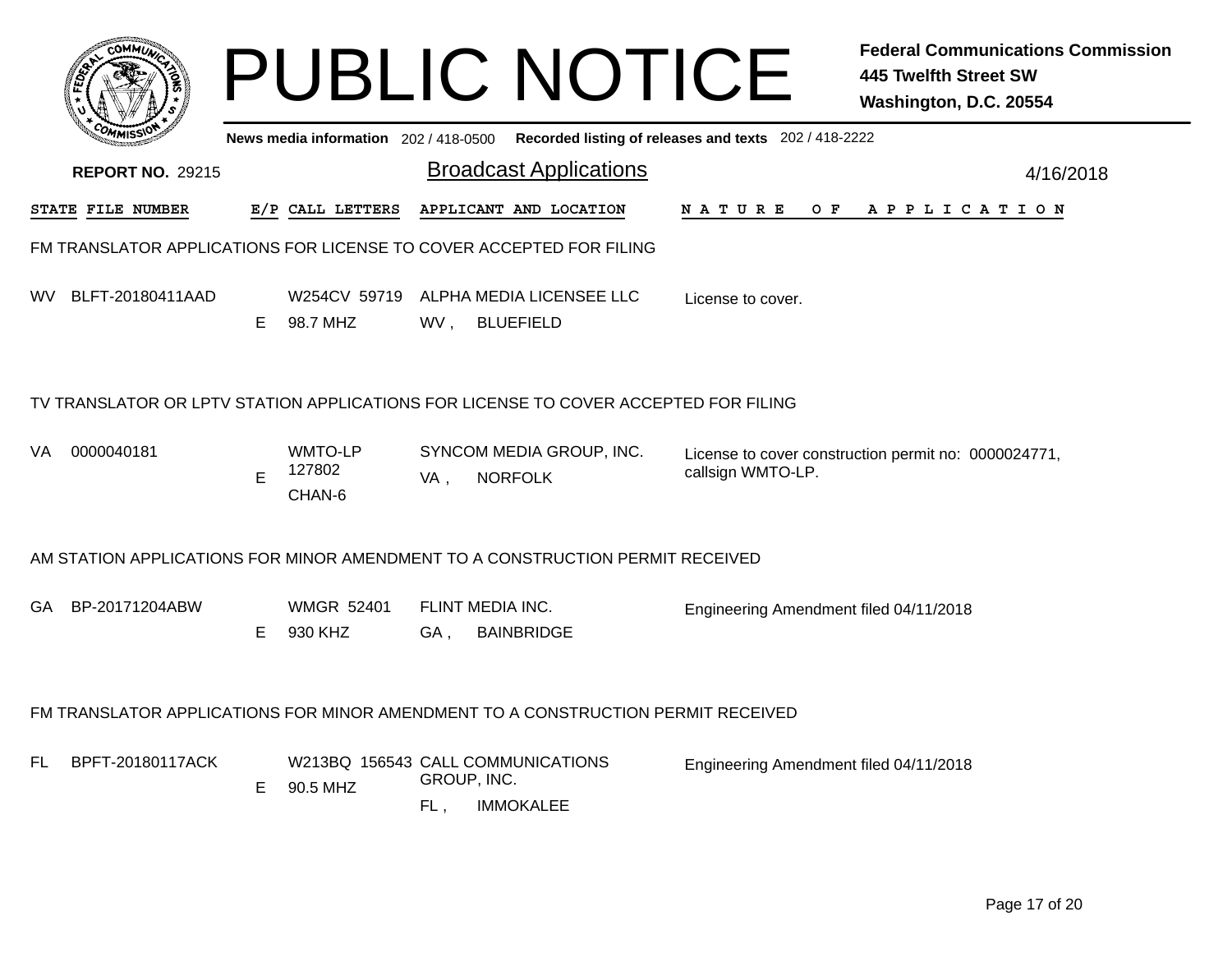|     |                                                                                     |    |                                               |                         | <b>PUBLIC NOTICE</b>                         |                                                       | <b>Federal Communications Commission</b><br>445 Twelfth Street SW<br>Washington, D.C. 20554 |  |  |  |  |
|-----|-------------------------------------------------------------------------------------|----|-----------------------------------------------|-------------------------|----------------------------------------------|-------------------------------------------------------|---------------------------------------------------------------------------------------------|--|--|--|--|
|     |                                                                                     |    | News media information 202 / 418-0500         |                         |                                              | Recorded listing of releases and texts 202 / 418-2222 |                                                                                             |  |  |  |  |
|     | <b>REPORT NO. 29215</b>                                                             |    |                                               |                         | <b>Broadcast Applications</b>                |                                                       | 4/16/2018                                                                                   |  |  |  |  |
|     | STATE FILE NUMBER                                                                   |    | E/P CALL LETTERS                              |                         | APPLICANT AND LOCATION                       | N A T U R E<br>O F                                    | A P P L I C A T I O N                                                                       |  |  |  |  |
|     | FM TRANSLATOR APPLICATIONS FOR LICENSE TO COVER ACCEPTED FOR FILING                 |    |                                               |                         |                                              |                                                       |                                                                                             |  |  |  |  |
| WV. | BLFT-20180411AAD                                                                    | E. | W254CV 59719<br>98.7 MHZ                      | WV,                     | ALPHA MEDIA LICENSEE LLC<br><b>BLUEFIELD</b> | License to cover.                                     |                                                                                             |  |  |  |  |
|     | TV TRANSLATOR OR LPTV STATION APPLICATIONS FOR LICENSE TO COVER ACCEPTED FOR FILING |    |                                               |                         |                                              |                                                       |                                                                                             |  |  |  |  |
| VA. | 0000040181                                                                          | E  | WMTO-LP<br>127802<br>CHAN-6                   | VA,                     | SYNCOM MEDIA GROUP, INC.<br><b>NORFOLK</b>   | callsign WMTO-LP.                                     | License to cover construction permit no: 0000024771,                                        |  |  |  |  |
|     | AM STATION APPLICATIONS FOR MINOR AMENDMENT TO A CONSTRUCTION PERMIT RECEIVED       |    |                                               |                         |                                              |                                                       |                                                                                             |  |  |  |  |
| GA. | BP-20171204ABW                                                                      | E. | <b>WMGR 52401</b><br>930 KHZ                  | FLINT MEDIA INC.<br>GA, | <b>BAINBRIDGE</b>                            | Engineering Amendment filed 04/11/2018                |                                                                                             |  |  |  |  |
|     | FM TRANSLATOR APPLICATIONS FOR MINOR AMENDMENT TO A CONSTRUCTION PERMIT RECEIVED    |    |                                               |                         |                                              |                                                       |                                                                                             |  |  |  |  |
| FL  | BPFT-20180117ACK                                                                    | Е  | W213BQ 156543 CALL COMMUNICATIONS<br>90.5 MHZ | GROUP, INC.<br>FL,      | <b>IMMOKALEE</b>                             | Engineering Amendment filed 04/11/2018                |                                                                                             |  |  |  |  |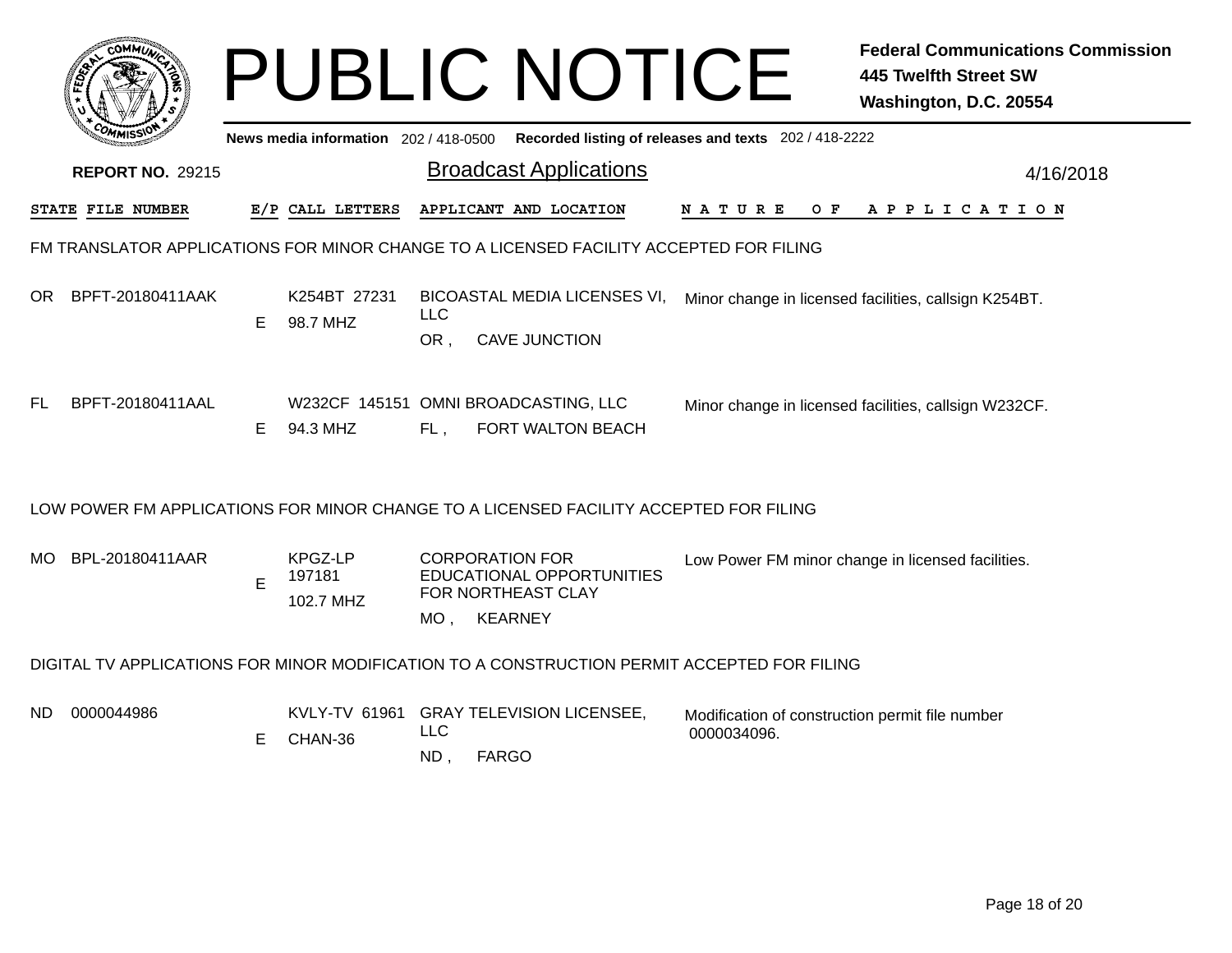|                                                                                             |                         |    |                                                                                                |                      | <b>PUBLIC NOTICE</b>                                                                                       |                                                                | <b>Federal Communications Commission</b><br><b>445 Twelfth Street SW</b><br>Washington, D.C. 20554 |  |  |  |
|---------------------------------------------------------------------------------------------|-------------------------|----|------------------------------------------------------------------------------------------------|----------------------|------------------------------------------------------------------------------------------------------------|----------------------------------------------------------------|----------------------------------------------------------------------------------------------------|--|--|--|
|                                                                                             |                         |    | Recorded listing of releases and texts 202 / 418-2222<br>News media information 202 / 418-0500 |                      |                                                                                                            |                                                                |                                                                                                    |  |  |  |
|                                                                                             | <b>REPORT NO. 29215</b> |    |                                                                                                |                      | <b>Broadcast Applications</b>                                                                              |                                                                | 4/16/2018                                                                                          |  |  |  |
|                                                                                             | STATE FILE NUMBER       |    | E/P CALL LETTERS                                                                               |                      | APPLICANT AND LOCATION                                                                                     | NATURE OF                                                      | A P P L I C A T I O N                                                                              |  |  |  |
|                                                                                             |                         |    |                                                                                                |                      | FM TRANSLATOR APPLICATIONS FOR MINOR CHANGE TO A LICENSED FACILITY ACCEPTED FOR FILING                     |                                                                |                                                                                                    |  |  |  |
|                                                                                             | OR BPFT-20180411AAK     | E. | K254BT 27231<br>98.7 MHZ                                                                       | <b>LLC</b><br>OR,    | BICOASTAL MEDIA LICENSES VI, Minor change in licensed facilities, callsign K254BT.<br><b>CAVE JUNCTION</b> |                                                                |                                                                                                    |  |  |  |
| FL                                                                                          | BPFT-20180411AAL        | E. | 94.3 MHZ                                                                                       | $FL$ ,               | W232CF 145151 OMNI BROADCASTING, LLC<br>FORT WALTON BEACH                                                  |                                                                | Minor change in licensed facilities, callsign W232CF.                                              |  |  |  |
|                                                                                             |                         |    |                                                                                                |                      | LOW POWER FM APPLICATIONS FOR MINOR CHANGE TO A LICENSED FACILITY ACCEPTED FOR FILING                      |                                                                |                                                                                                    |  |  |  |
| MO.                                                                                         | BPL-20180411AAR         | E  | KPGZ-LP<br>197181<br>102.7 MHZ                                                                 | MO ,                 | <b>CORPORATION FOR</b><br>EDUCATIONAL OPPORTUNITIES<br>FOR NORTHEAST CLAY<br><b>KEARNEY</b>                |                                                                | Low Power FM minor change in licensed facilities.                                                  |  |  |  |
| DIGITAL TV APPLICATIONS FOR MINOR MODIFICATION TO A CONSTRUCTION PERMIT ACCEPTED FOR FILING |                         |    |                                                                                                |                      |                                                                                                            |                                                                |                                                                                                    |  |  |  |
| ND.                                                                                         | 0000044986              | Е  | KVLY-TV 61961<br>CHAN-36                                                                       | <b>LLC</b><br>$ND$ , | <b>GRAY TELEVISION LICENSEE,</b><br><b>FARGO</b>                                                           | Modification of construction permit file number<br>0000034096. |                                                                                                    |  |  |  |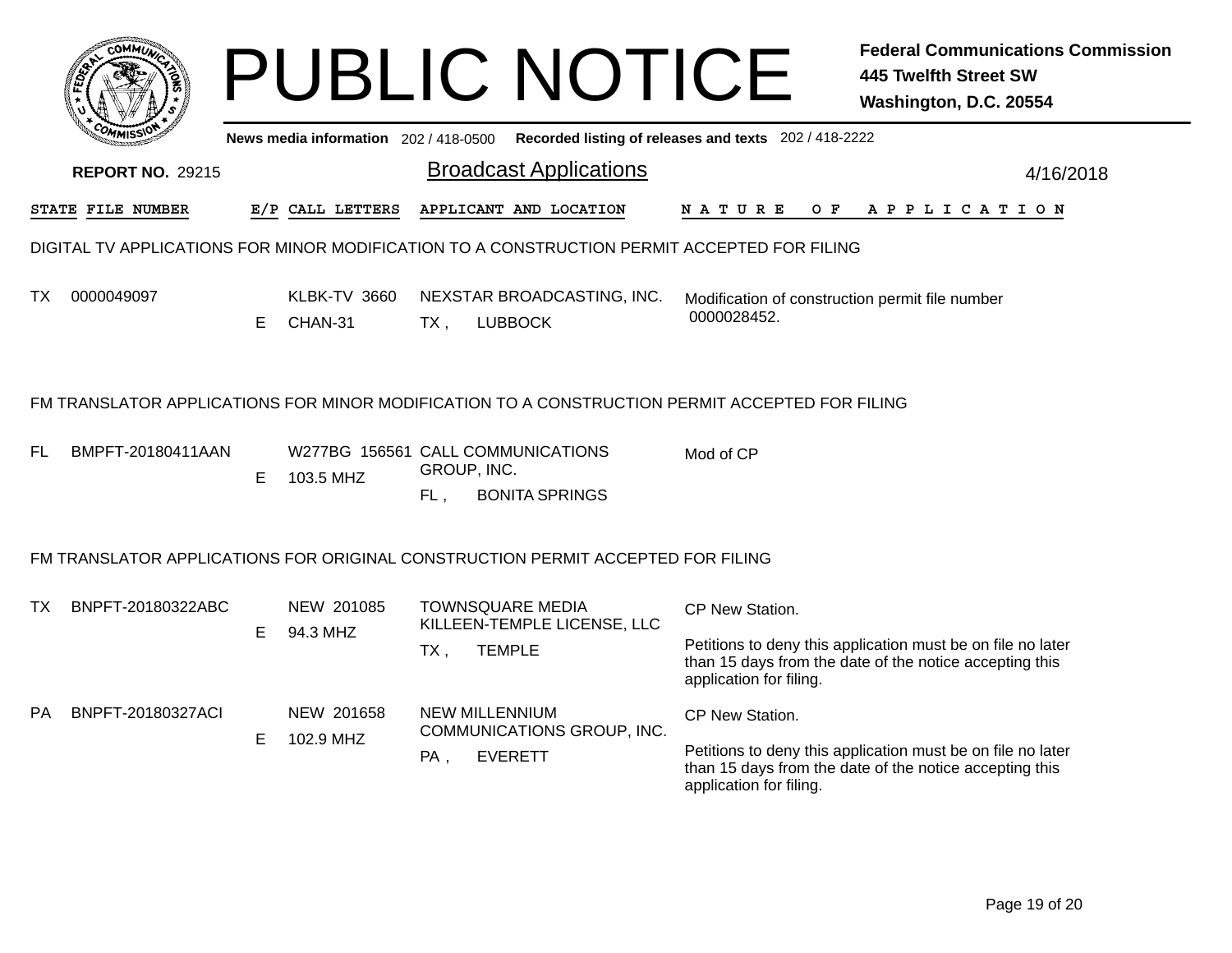|           | <b>COMMUT</b>                                                                   |    |                                                |                                                        | <b>PUBLIC NOTICE</b>                         |                                                                                                | <b>Federal Communications Commission</b><br><b>445 Twelfth Street SW</b><br>Washington, D.C. 20554                     |
|-----------|---------------------------------------------------------------------------------|----|------------------------------------------------|--------------------------------------------------------|----------------------------------------------|------------------------------------------------------------------------------------------------|------------------------------------------------------------------------------------------------------------------------|
|           |                                                                                 |    | News media information $202/418-0500$          |                                                        |                                              | Recorded listing of releases and texts 202 / 418-2222                                          |                                                                                                                        |
|           | <b>REPORT NO. 29215</b>                                                         |    |                                                |                                                        | <b>Broadcast Applications</b>                |                                                                                                | 4/16/2018                                                                                                              |
|           | STATE FILE NUMBER                                                               |    | E/P CALL LETTERS                               |                                                        | APPLICANT AND LOCATION                       | N A T U R E<br>O F                                                                             | A P P L I C A T I O N                                                                                                  |
|           |                                                                                 |    |                                                |                                                        |                                              | DIGITAL TV APPLICATIONS FOR MINOR MODIFICATION TO A CONSTRUCTION PERMIT ACCEPTED FOR FILING    |                                                                                                                        |
| ТX        | 0000049097                                                                      | E. | KLBK-TV 3660<br>CHAN-31                        | $TX$ ,                                                 | NEXSTAR BROADCASTING, INC.<br><b>LUBBOCK</b> | Modification of construction permit file number<br>0000028452.                                 |                                                                                                                        |
|           |                                                                                 |    |                                                |                                                        |                                              | FM TRANSLATOR APPLICATIONS FOR MINOR MODIFICATION TO A CONSTRUCTION PERMIT ACCEPTED FOR FILING |                                                                                                                        |
| FL        | BMPFT-20180411AAN                                                               | E. | W277BG 156561 CALL COMMUNICATIONS<br>103.5 MHZ | GROUP, INC.<br>FL,                                     | <b>BONITA SPRINGS</b>                        | Mod of CP                                                                                      |                                                                                                                        |
|           | FM TRANSLATOR APPLICATIONS FOR ORIGINAL CONSTRUCTION PERMIT ACCEPTED FOR FILING |    |                                                |                                                        |                                              |                                                                                                |                                                                                                                        |
| ТX        | BNPFT-20180322ABC                                                               |    | NEW 201085                                     | <b>TOWNSQUARE MEDIA</b><br>KILLEEN-TEMPLE LICENSE, LLC |                                              | CP New Station.                                                                                |                                                                                                                        |
|           |                                                                                 | E. | 94.3 MHZ                                       | $TX$ ,                                                 | <b>TEMPLE</b>                                | application for filing.                                                                        | Petitions to deny this application must be on file no later<br>than 15 days from the date of the notice accepting this |
| <b>PA</b> | BNPFT-20180327ACI                                                               |    | NEW 201658                                     | <b>NEW MILLENNIUM</b>                                  |                                              | CP New Station.                                                                                |                                                                                                                        |
|           |                                                                                 | E. | 102.9 MHZ                                      | $PA$ ,                                                 | COMMUNICATIONS GROUP, INC.<br><b>EVERETT</b> | application for filing.                                                                        | Petitions to deny this application must be on file no later<br>than 15 days from the date of the notice accepting this |